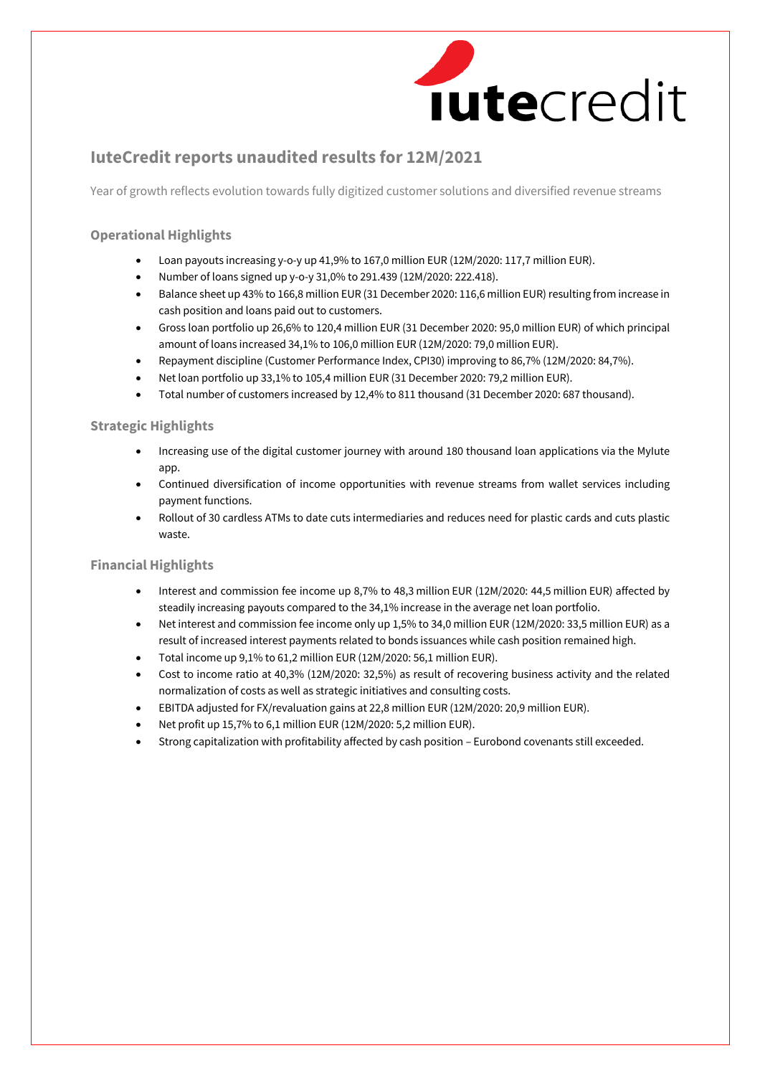

# **IuteCredit reports unaudited results for 12M/2021**

Year of growth reflects evolution towards fully digitized customer solutions and diversified revenue streams

# **Operational Highlights**

- Loan payouts increasing y-o-y up 41,9% to 167,0 million EUR (12M/2020: 117,7 million EUR).
- Number of loans signed up y-o-y 31,0% to 291.439 (12M/2020: 222.418).
- Balance sheet up 43% to 166,8 million EUR (31 December 2020: 116,6 million EUR) resulting from increase in cash position and loans paid out to customers.
- Gross loan portfolio up 26,6% to 120,4 million EUR (31 December 2020: 95,0 million EUR) of which principal amount of loans increased 34,1% to 106,0 million EUR (12M/2020: 79,0 million EUR).
- Repayment discipline (Customer Performance Index, CPI30) improving to 86,7% (12M/2020: 84,7%).
- Net loan portfolio up 33,1% to 105,4 million EUR (31 December 2020: 79,2 million EUR).
- Total number of customers increased by 12,4% to 811 thousand (31 December 2020: 687 thousand).

# **Strategic Highlights**

- Increasing use of the digital customer journey with around 180 thousand loan applications via the MyIute app.
- Continued diversification of income opportunities with revenue streams from wallet services including payment functions.
- Rollout of 30 cardless ATMs to date cuts intermediaries and reduces need for plastic cards and cuts plastic waste.

# **Financial Highlights**

- Interest and commission fee income up 8,7% to 48,3 million EUR (12M/2020: 44,5 million EUR) affected by steadily increasing payouts compared to the 34,1% increase in the average net loan portfolio.
- Net interest and commission fee income only up 1,5% to 34,0 million EUR (12M/2020: 33,5 million EUR) as a result of increased interest payments related to bonds issuances while cash position remained high.
- Total income up 9,1% to 61,2 million EUR (12M/2020: 56,1 million EUR).
- Cost to income ratio at 40,3% (12M/2020: 32,5%) as result of recovering business activity and the related normalization of costs as well as strategic initiatives and consulting costs.
- EBITDA adjusted for FX/revaluation gains at 22,8 million EUR (12M/2020: 20,9 million EUR).
- Net profit up 15,7% to 6,1 million EUR (12M/2020: 5,2 million EUR).
- Strong capitalization with profitability affected by cash position Eurobond covenants still exceeded.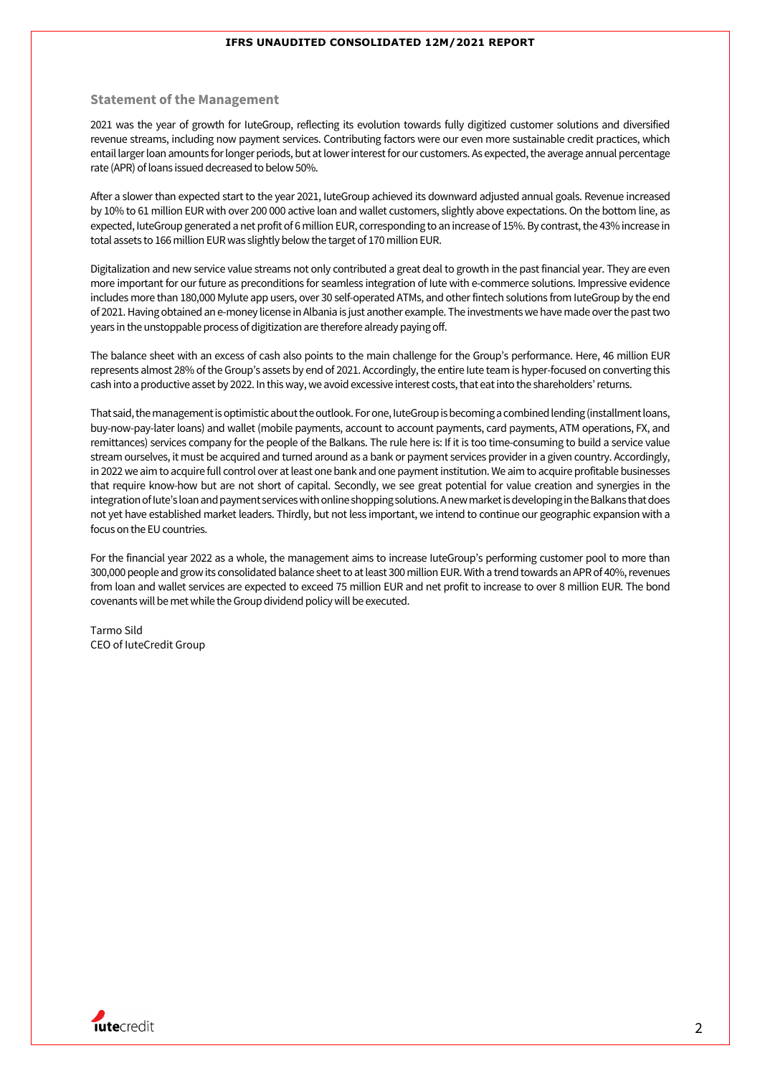#### **Statement of the Management**

2021 was the year of growth for IuteGroup, reflecting its evolution towards fully digitized customer solutions and diversified revenue streams, including now payment services. Contributing factors were our even more sustainable credit practices, which entail larger loan amounts for longer periods, but at lower interest for our customers. As expected, the average annual percentage rate (APR) of loans issued decreased to below 50%.

After a slower than expected start to the year 2021, IuteGroup achieved its downward adjusted annual goals. Revenue increased by 10% to 61 million EUR with over 200 000 active loan and wallet customers, slightly above expectations. On the bottom line, as expected, IuteGroup generated a net profit of 6 million EUR, corresponding to an increase of 15%. By contrast, the 43% increase in total assets to 166 million EUR was slightly below the target of 170 million EUR.

Digitalization and new service value streams not only contributed a great deal to growth in the past financial year. They are even more important for our future as preconditions for seamless integration of Iute with e-commerce solutions. Impressive evidence includes more than 180,000 MyIute app users, over 30 self-operated ATMs, and other fintech solutions from IuteGroup by the end of 2021. Having obtained an e-money license in Albania is just another example. The investments we have made over the past two years in the unstoppable process of digitization are therefore already paying off.

The balance sheet with an excess of cash also points to the main challenge for the Group's performance. Here, 46 million EUR represents almost 28% of the Group's assets by end of 2021. Accordingly, the entire Iute team is hyper-focused on converting this cash into a productive asset by 2022. In this way, we avoid excessive interest costs, that eat into the shareholders' returns.

That said, the management is optimistic about the outlook. For one, IuteGroup is becoming a combined lending (installment loans, buy-now-pay-later loans) and wallet (mobile payments, account to account payments, card payments, ATM operations, FX, and remittances) services company for the people of the Balkans. The rule here is: If it is too time-consuming to build a service value stream ourselves, it must be acquired and turned around as a bank or payment services provider in a given country. Accordingly, in 2022 we aim to acquire full control over at least one bank and one payment institution. We aim to acquire profitable businesses that require know-how but are not short of capital. Secondly, we see great potential for value creation and synergies in the integration of Iute's loan and payment services with online shopping solutions. A new market is developing in the Balkans that does not yet have established market leaders. Thirdly, but not less important, we intend to continue our geographic expansion with a focus on the EU countries.

For the financial year 2022 as a whole, the management aims to increase IuteGroup's performing customer pool to more than 300,000 people and grow its consolidated balance sheet to at least 300 million EUR. With a trend towards an APR of 40%, revenues from loan and wallet services are expected to exceed 75 million EUR and net profit to increase to over 8 million EUR. The bond covenants will be met while the Group dividend policy will be executed.

Tarmo Sild CEO of IuteCredit Group

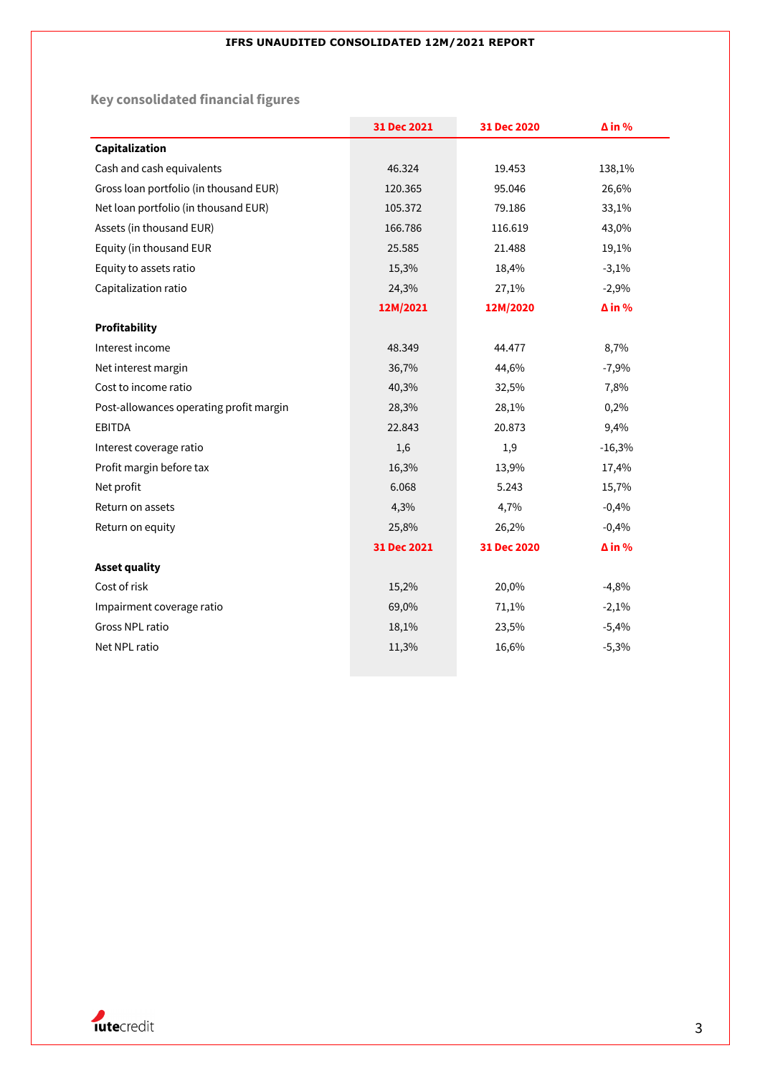# **Key consolidated financial figures**

|                                         | 31 Dec 2021 | 31 Dec 2020 | $\Delta$ in % |
|-----------------------------------------|-------------|-------------|---------------|
| Capitalization                          |             |             |               |
| Cash and cash equivalents               | 46.324      | 19.453      | 138,1%        |
| Gross loan portfolio (in thousand EUR)  | 120.365     | 95.046      | 26,6%         |
| Net loan portfolio (in thousand EUR)    | 105.372     | 79.186      | 33,1%         |
| Assets (in thousand EUR)                | 166.786     | 116.619     | 43,0%         |
| Equity (in thousand EUR                 | 25.585      | 21.488      | 19,1%         |
| Equity to assets ratio                  | 15,3%       | 18,4%       | $-3,1%$       |
| Capitalization ratio                    | 24,3%       | 27,1%       | $-2,9%$       |
|                                         | 12M/2021    | 12M/2020    | $\Delta$ in % |
| Profitability                           |             |             |               |
| Interest income                         | 48.349      | 44.477      | 8,7%          |
| Net interest margin                     | 36,7%       | 44,6%       | $-7,9%$       |
| Cost to income ratio                    | 40,3%       | 32,5%       | 7,8%          |
| Post-allowances operating profit margin | 28,3%       | 28,1%       | 0,2%          |
| <b>EBITDA</b>                           | 22.843      | 20.873      | 9,4%          |
| Interest coverage ratio                 | 1,6         | 1,9         | $-16,3%$      |
| Profit margin before tax                | 16,3%       | 13,9%       | 17,4%         |
| Net profit                              | 6.068       | 5.243       | 15,7%         |
| Return on assets                        | 4,3%        | 4,7%        | $-0,4%$       |
| Return on equity                        | 25,8%       | 26,2%       | $-0,4%$       |
|                                         | 31 Dec 2021 | 31 Dec 2020 | $\Delta$ in % |
| <b>Asset quality</b>                    |             |             |               |
| Cost of risk                            | 15,2%       | 20,0%       | $-4,8%$       |
| Impairment coverage ratio               | 69,0%       | 71,1%       | $-2,1%$       |
| <b>Gross NPL ratio</b>                  | 18,1%       | 23,5%       | $-5,4%$       |
| Net NPL ratio                           | 11,3%       | 16,6%       | $-5,3%$       |
|                                         |             |             |               |

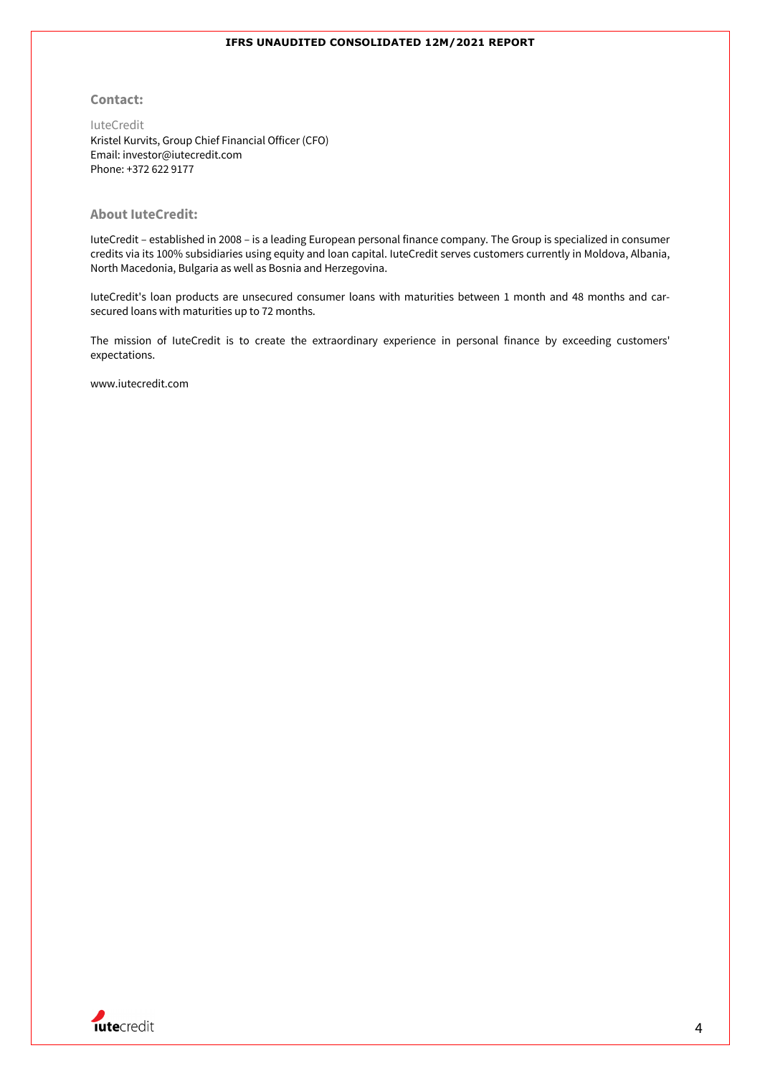**Contact:**

IuteCredit Kristel Kurvits, Group Chief Financial Officer (CFO) Email: investor@iutecredit.com Phone: +372 622 9177

#### **About IuteCredit:**

IuteCredit – established in 2008 – is a leading European personal finance company. The Group is specialized in consumer credits via its 100% subsidiaries using equity and loan capital. IuteCredit serves customers currently in Moldova, Albania, North Macedonia, Bulgaria as well as Bosnia and Herzegovina.

IuteCredit's loan products are unsecured consumer loans with maturities between 1 month and 48 months and carsecured loans with maturities up to 72 months.

The mission of IuteCredit is to create the extraordinary experience in personal finance by exceeding customers' expectations.

www.iutecredit.com



4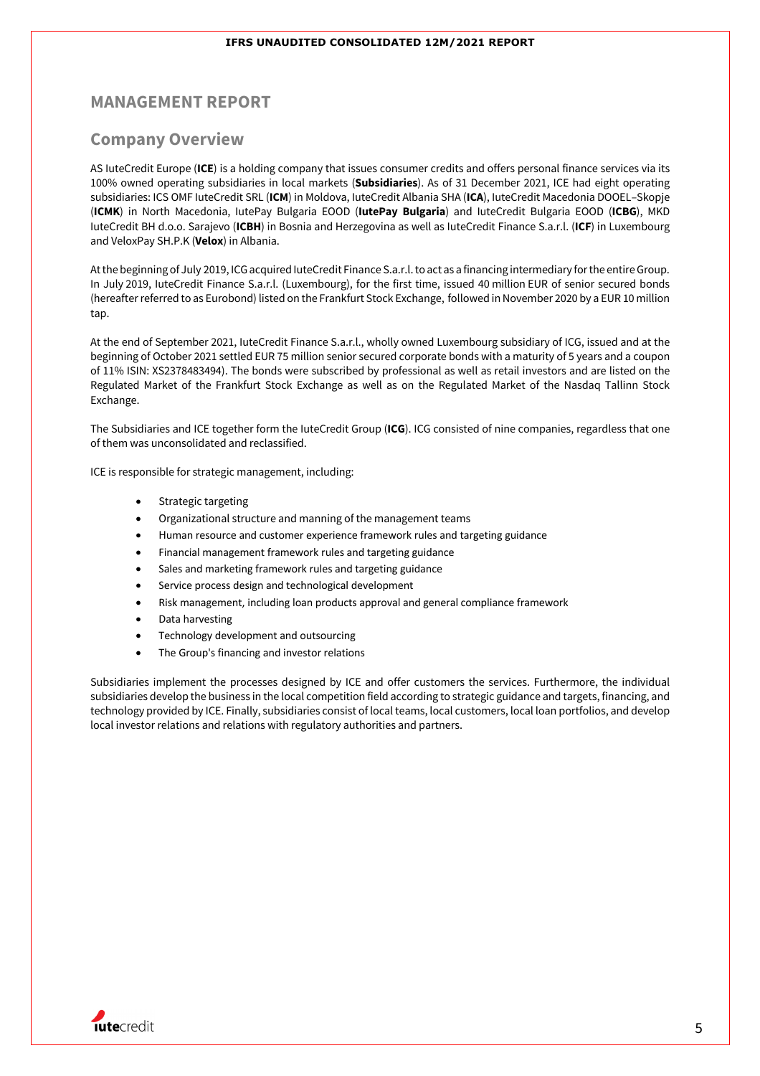# **MANAGEMENT REPORT**

# **Company Overview**

AS IuteCredit Europe (**ICE**) is a holding company that issues consumer credits and offers personal finance services via its 100% owned operating subsidiaries in local markets (**Subsidiaries**). As of 31 December 2021, ICE had eight operating subsidiaries: ICS OMF IuteCredit SRL (**ICM**) in Moldova, IuteCredit Albania SHA (**ICA**), IuteCredit Macedonia DOOEL–Skopje (**ICMK**) in North Macedonia, IutePay Bulgaria EOOD (**IutePay Bulgaria**) and IuteCredit Bulgaria EOOD (**ICBG**), MKD IuteCredit BH d.o.o. Sarajevo (**ICBH**) in Bosnia and Herzegovina as well as IuteCredit Finance S.a.r.l. (**ICF**) in Luxembourg and VeloxPay SH.P.K (**Velox**) in Albania.

At the beginning of July 2019, ICG acquired IuteCredit Finance S.a.r.l. to act as a financing intermediary for the entire Group. In July 2019, IuteCredit Finance S.a.r.l. (Luxembourg), for the first time, issued 40 million EUR of senior secured bonds (hereafter referred to as Eurobond) listed on the Frankfurt Stock Exchange, followed in November 2020 by a EUR 10 million tap.

At the end of September 2021, IuteCredit Finance S.a.r.l., wholly owned Luxembourg subsidiary of ICG, issued and at the beginning of October 2021 settled EUR 75 million senior secured corporate bonds with a maturity of 5 years and a coupon of 11% ISIN: XS2378483494). The bonds were subscribed by professional as well as retail investors and are listed on the Regulated Market of the Frankfurt Stock Exchange as well as on the Regulated Market of the Nasdaq Tallinn Stock Exchange.

The Subsidiaries and ICE together form the IuteCredit Group (**ICG**). ICG consisted of nine companies, regardless that one of them was unconsolidated and reclassified.

ICE is responsible for strategic management, including:

- Strategic targeting
- Organizational structure and manning of the management teams
- Human resource and customer experience framework rules and targeting guidance
- Financial management framework rules and targeting guidance
- Sales and marketing framework rules and targeting guidance
- Service process design and technological development
- Risk management, including loan products approval and general compliance framework
- Data harvesting
- Technology development and outsourcing
- The Group's financing and investor relations

Subsidiaries implement the processes designed by ICE and offer customers the services. Furthermore, the individual subsidiaries develop the business in the local competition field according to strategic guidance and targets, financing, and technology provided by ICE. Finally, subsidiaries consist of local teams, local customers, local loan portfolios, and develop local investor relations and relations with regulatory authorities and partners.

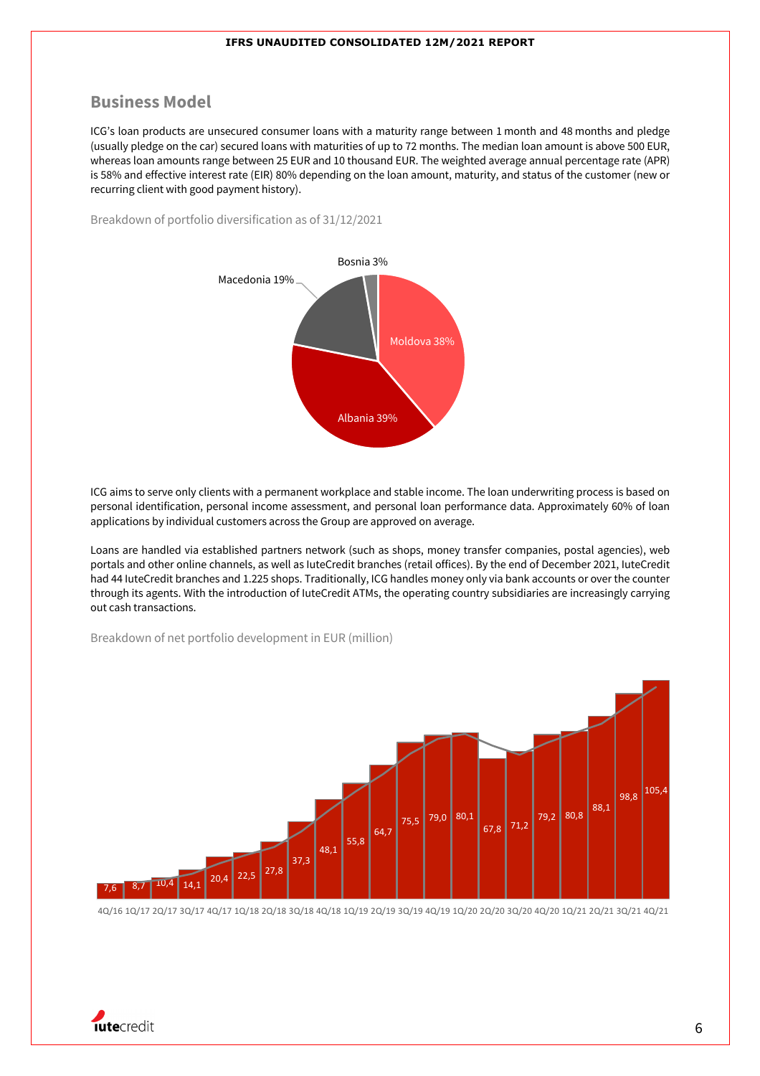# **Business Model**

ICG's loan products are unsecured consumer loans with a maturity range between 1 month and 48 months and pledge (usually pledge on the car) secured loans with maturities of up to 72 months. The median loan amount is above 500 EUR, whereas loan amounts range between 25 EUR and 10 thousand EUR. The weighted average annual percentage rate (APR) is 58% and effective interest rate (EIR) 80% depending on the loan amount, maturity, and status of the customer (new or recurring client with good payment history).

Breakdown of portfolio diversification as of 31/12/2021



ICG aims to serve only clients with a permanent workplace and stable income. The loan underwriting process is based on personal identification, personal income assessment, and personal loan performance data. Approximately 60% of loan applications by individual customers across the Group are approved on average.

Loans are handled via established partners network (such as shops, money transfer companies, postal agencies), web portals and other online channels, as well as IuteCredit branches (retail offices). By the end of December 2021, IuteCredit had 44 IuteCredit branches and 1.225 shops. Traditionally, ICG handles money only via bank accounts or over the counter through its agents. With the introduction of IuteCredit ATMs, the operating country subsidiaries are increasingly carrying out cash transactions.

### Breakdown of net portfolio development in EUR (million)



4Q/16 1Q/17 2Q/17 3Q/17 4Q/17 1Q/18 2Q/18 3Q/18 4Q/18 1Q/19 2Q/19 3Q/19 4Q/19 1Q/20 2Q/20 3Q/20 4Q/20 1Q/21 2Q/21 3Q/21 4Q/21

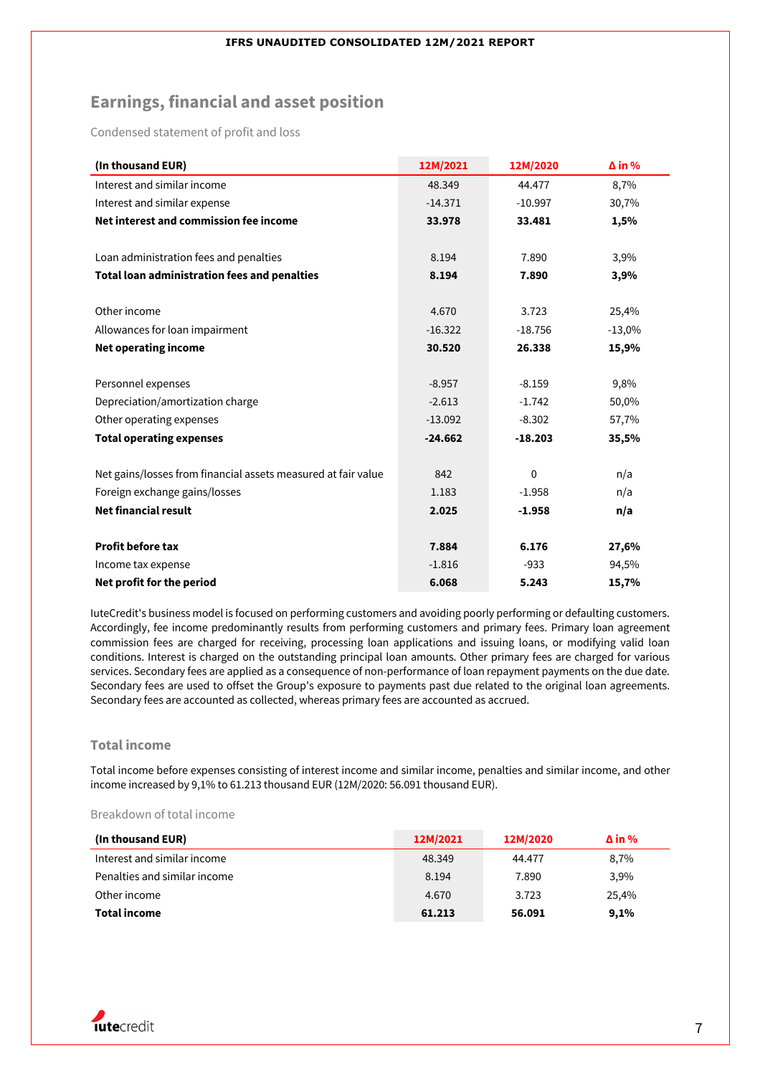# **Earnings, financial and asset position**

Condensed statement of profit and loss

| (In thousand EUR)                                             | 12M/2021  | 12M/2020    | $\Delta$ in % |
|---------------------------------------------------------------|-----------|-------------|---------------|
| Interest and similar income                                   | 48.349    | 44.477      | 8,7%          |
| Interest and similar expense                                  | $-14.371$ | $-10.997$   | 30,7%         |
| Net interest and commission fee income                        | 33.978    | 33.481      | 1,5%          |
| Loan administration fees and penalties                        | 8.194     | 7.890       | 3,9%          |
| <b>Total loan administration fees and penalties</b>           | 8.194     | 7.890       | 3,9%          |
| Other income                                                  | 4.670     | 3.723       | 25,4%         |
| Allowances for loan impairment                                | $-16.322$ | $-18.756$   | $-13,0%$      |
| <b>Net operating income</b>                                   | 30.520    | 26.338      | 15,9%         |
| Personnel expenses                                            | $-8.957$  | $-8.159$    | 9,8%          |
| Depreciation/amortization charge                              | $-2.613$  | $-1.742$    | 50,0%         |
| Other operating expenses                                      | $-13.092$ | $-8.302$    | 57,7%         |
| <b>Total operating expenses</b>                               | $-24.662$ | $-18.203$   | 35,5%         |
| Net gains/losses from financial assets measured at fair value | 842       | $\mathbf 0$ | n/a           |
| Foreign exchange gains/losses                                 | 1.183     | $-1.958$    | n/a           |
| <b>Net financial result</b>                                   | 2.025     | $-1.958$    | n/a           |
| <b>Profit before tax</b>                                      | 7.884     | 6.176       | 27,6%         |
| Income tax expense                                            | $-1.816$  | $-933$      | 94,5%         |
| Net profit for the period                                     | 6.068     | 5.243       | 15,7%         |

IuteCredit's business model is focused on performing customers and avoiding poorly performing or defaulting customers. Accordingly, fee income predominantly results from performing customers and primary fees. Primary loan agreement commission fees are charged for receiving, processing loan applications and issuing loans, or modifying valid loan conditions. Interest is charged on the outstanding principal loan amounts. Other primary fees are charged for various services. Secondary fees are applied as a consequence of non-performance of loan repayment payments on the due date. Secondary fees are used to offset the Group's exposure to payments past due related to the original loan agreements. Secondary fees are accounted as collected, whereas primary fees are accounted as accrued.

## **Total income**

Total income before expenses consisting of interest income and similar income, penalties and similar income, and other income increased by 9,1% to 61.213 thousand EUR (12M/2020: 56.091 thousand EUR).

## Breakdown of total income

| (In thousand EUR)            | 12M/2021 | 12M/2020 | $\Delta$ in % |
|------------------------------|----------|----------|---------------|
| Interest and similar income  | 48.349   | 44,477   | 8,7%          |
| Penalties and similar income | 8.194    | 7.890    | 3,9%          |
| Other income                 | 4.670    | 3.723    | 25.4%         |
| Total income                 | 61.213   | 56.091   | 9.1%          |

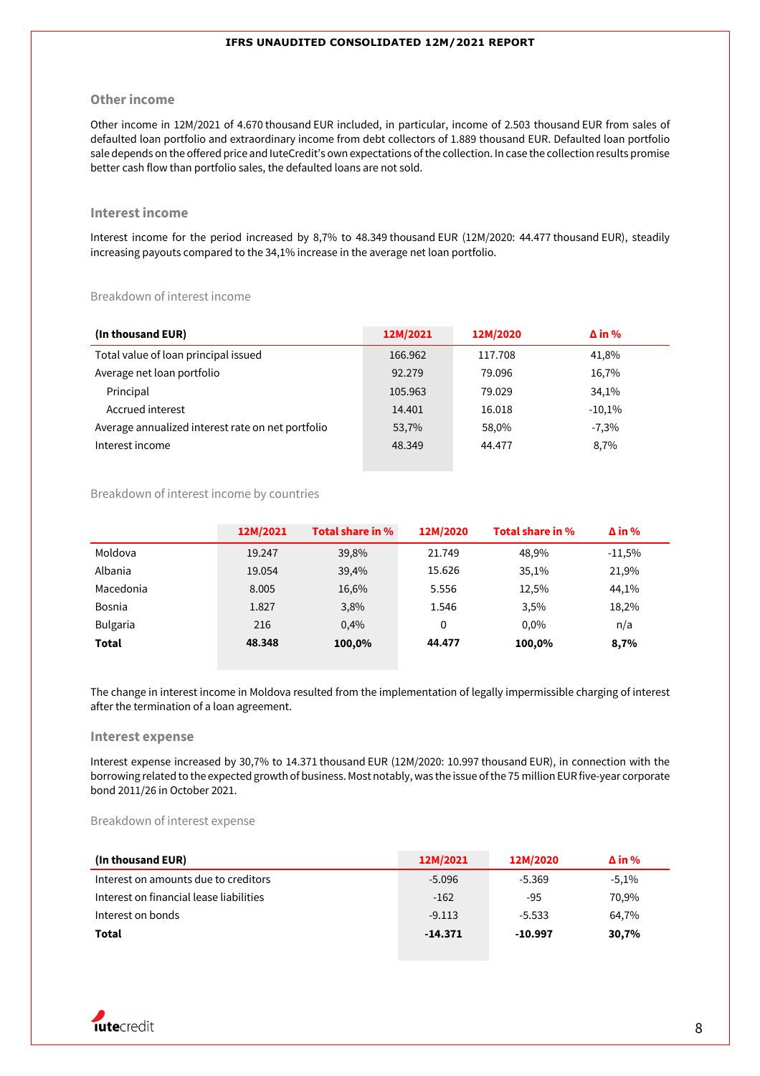## **Other income**

Other income in 12M/2021 of 4.670 thousand EUR included, in particular, income of 2.503 thousand EUR from sales of defaulted loan portfolio and extraordinary income from debt collectors of 1.889 thousand EUR. Defaulted loan portfolio sale depends on the offered price and IuteCredit's own expectations of the collection. In case the collection results promise better cash flow than portfolio sales, the defaulted loans are not sold.

## **Interest income**

Interest income for the period increased by 8,7% to 48.349 thousand EUR (12M/2020: 44.477 thousand EUR), steadily increasing payouts compared to the 34,1% increase in the average net loan portfolio.

### Breakdown of interest income

| (In thousand EUR)                                 | 12M/2021 | 12M/2020 | $\Delta$ in % |
|---------------------------------------------------|----------|----------|---------------|
| Total value of loan principal issued              | 166,962  | 117.708  | 41,8%         |
| Average net loan portfolio                        | 92.279   | 79.096   | 16,7%         |
| Principal                                         | 105.963  | 79.029   | 34,1%         |
| Accrued interest                                  | 14.401   | 16.018   | $-10.1\%$     |
| Average annualized interest rate on net portfolio | 53,7%    | 58,0%    | $-7,3%$       |
| Interest income                                   | 48.349   | 44,477   | 8,7%          |

### Breakdown of interest income by countries

|                 | 12M/2021 | Total share in % | 12M/2020 | Total share in % | $\Delta$ in % |
|-----------------|----------|------------------|----------|------------------|---------------|
| Moldova         | 19.247   | 39,8%            | 21.749   | 48.9%            | $-11,5%$      |
| Albania         | 19.054   | 39,4%            | 15.626   | 35,1%            | 21,9%         |
| Macedonia       | 8.005    | 16,6%            | 5.556    | 12,5%            | 44,1%         |
| <b>Bosnia</b>   | 1.827    | 3,8%             | 1.546    | 3,5%             | 18,2%         |
| <b>Bulgaria</b> | 216      | 0.4%             | 0        | $0.0\%$          | n/a           |
| Total           | 48.348   | 100,0%           | 44.477   | 100,0%           | 8,7%          |

The change in interest income in Moldova resulted from the implementation of legally impermissible charging of interest after the termination of a loan agreement.

#### **Interest expense**

Interest expense increased by 30,7% to 14.371 thousand EUR (12M/2020: 10.997 thousand EUR), in connection with the borrowing related to the expected growth of business. Most notably, was the issue of the 75 million EUR five-year corporate bond 2011/26 in October 2021.

Breakdown of interest expense

| 12M/2021  | 12M/2020  | $\Delta$ in % |
|-----------|-----------|---------------|
| $-5.096$  | -5.369    | $-5.1\%$      |
| $-162$    | $-95$     | 70.9%         |
| $-9.113$  | $-5.533$  | 64,7%         |
| $-14.371$ | $-10.997$ | 30,7%         |
|           |           |               |

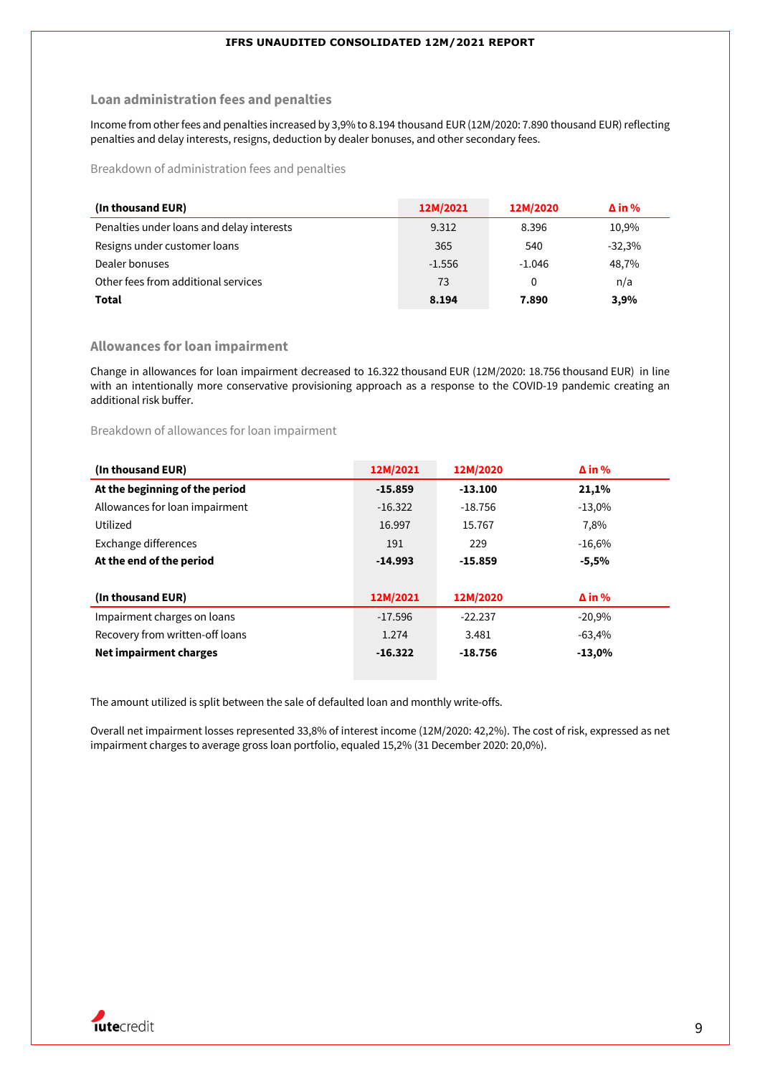#### **Loan administration fees and penalties**

Income from other fees and penalties increased by 3,9% to 8.194 thousand EUR (12M/2020: 7.890 thousand EUR) reflecting penalties and delay interests, resigns, deduction by dealer bonuses, and other secondary fees.

Breakdown of administration fees and penalties

| (In thousand EUR)                         | 12M/2021 | 12M/2020 | $\Delta$ in % |
|-------------------------------------------|----------|----------|---------------|
| Penalties under loans and delay interests | 9.312    | 8.396    | 10,9%         |
| Resigns under customer loans              | 365      | 540      | $-32,3%$      |
| Dealer bonuses                            | $-1.556$ | $-1.046$ | 48,7%         |
| Other fees from additional services       | 73       | 0        | n/a           |
| Total                                     | 8.194    | 7.890    | 3,9%          |

#### **Allowances for loan impairment**

Change in allowances for loan impairment decreased to 16.322 thousand EUR (12M/2020: 18.756 thousand EUR) in line with an intentionally more conservative provisioning approach as a response to the COVID-19 pandemic creating an additional risk buffer.

Breakdown of allowances for loan impairment

| (In thousand EUR)               | 12M/2021  | 12M/2020  | $\Delta$ in % |
|---------------------------------|-----------|-----------|---------------|
| At the beginning of the period  | $-15.859$ | $-13.100$ | 21,1%         |
| Allowances for loan impairment  | $-16.322$ | $-18.756$ | $-13,0%$      |
| Utilized                        | 16.997    | 15.767    | 7,8%          |
| Exchange differences            | 191       | 229       | $-16,6%$      |
| At the end of the period        | $-14.993$ | $-15.859$ | $-5,5%$       |
|                                 |           |           |               |
| (In thousand EUR)               | 12M/2021  | 12M/2020  | $\Delta$ in % |
| Impairment charges on loans     | $-17.596$ | $-22.237$ | $-20.9%$      |
| Recovery from written-off loans | 1.274     | 3.481     | $-63,4%$      |
| <b>Net impairment charges</b>   | $-16.322$ | $-18.756$ | $-13,0%$      |
|                                 |           |           |               |

The amount utilized is split between the sale of defaulted loan and monthly write-offs.

Overall net impairment losses represented 33,8% of interest income (12M/2020: 42,2%). The cost of risk, expressed as net impairment charges to average gross loan portfolio, equaled 15,2% (31 December 2020: 20,0%).

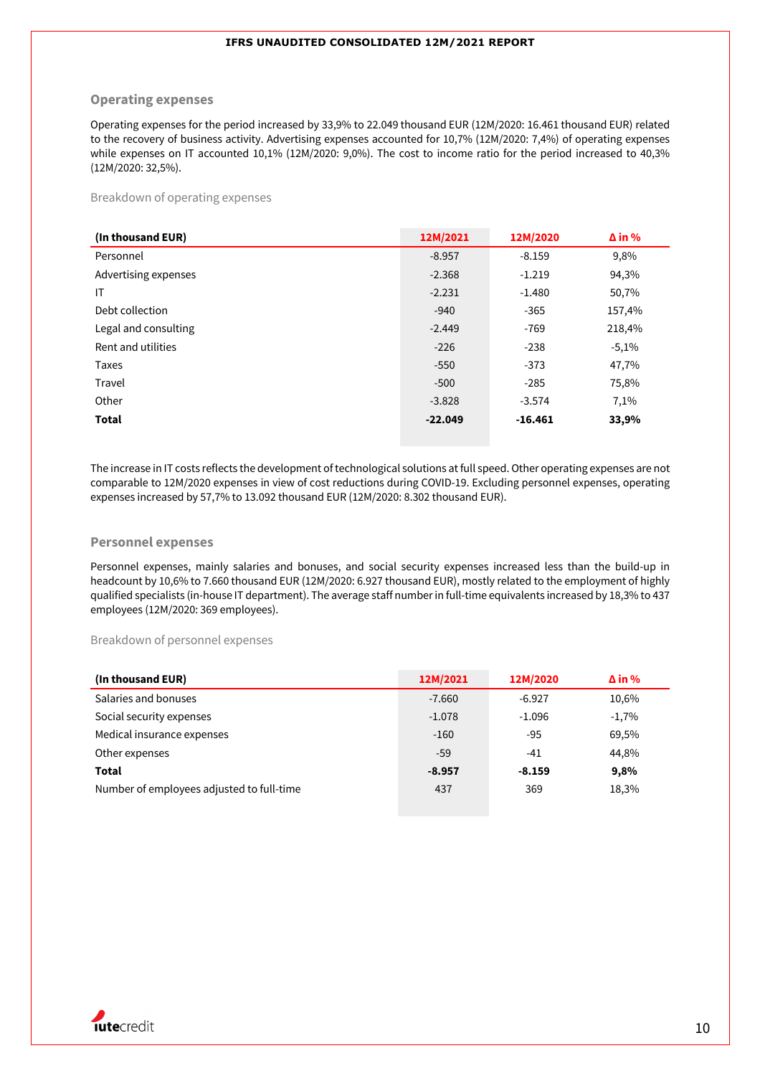### **Operating expenses**

Operating expenses for the period increased by 33,9% to 22.049 thousand EUR (12M/2020: 16.461 thousand EUR) related to the recovery of business activity. Advertising expenses accounted for 10,7% (12M/2020: 7,4%) of operating expenses while expenses on IT accounted 10,1% (12M/2020: 9,0%). The cost to income ratio for the period increased to 40,3% (12M/2020: 32,5%).

Breakdown of operating expenses

| (In thousand EUR)    | 12M/2021  | 12M/2020  | $\Delta$ in % |
|----------------------|-----------|-----------|---------------|
| Personnel            | $-8.957$  | $-8.159$  | 9,8%          |
| Advertising expenses | $-2.368$  | $-1.219$  | 94,3%         |
| IT                   | $-2.231$  | $-1.480$  | 50,7%         |
| Debt collection      | $-940$    | $-365$    | 157,4%        |
| Legal and consulting | $-2.449$  | $-769$    | 218,4%        |
| Rent and utilities   | $-226$    | $-238$    | $-5,1%$       |
| Taxes                | $-550$    | $-373$    | 47,7%         |
| Travel               | $-500$    | $-285$    | 75,8%         |
| Other                | $-3.828$  | $-3.574$  | 7,1%          |
| <b>Total</b>         | $-22.049$ | $-16.461$ | 33,9%         |

The increase in IT costs reflects the development of technological solutions at full speed. Other operating expenses are not comparable to 12M/2020 expenses in view of cost reductions during COVID-19. Excluding personnel expenses, operating expenses increased by 57,7% to 13.092 thousand EUR (12M/2020: 8.302 thousand EUR).

### **Personnel expenses**

Personnel expenses, mainly salaries and bonuses, and social security expenses increased less than the build-up in headcount by 10,6% to 7.660 thousand EUR (12M/2020: 6.927 thousand EUR), mostly related to the employment of highly qualified specialists (in-house IT department). The average staff number in full-time equivalents increased by 18,3% to 437 employees (12M/2020: 369 employees).

#### Breakdown of personnel expenses

| (In thousand EUR)                         | 12M/2021 | 12M/2020 | $\Delta$ in % |
|-------------------------------------------|----------|----------|---------------|
| Salaries and bonuses                      | $-7.660$ | $-6.927$ | 10,6%         |
| Social security expenses                  | $-1.078$ | $-1.096$ | $-1,7%$       |
| Medical insurance expenses                | $-160$   | $-95$    | 69,5%         |
| Other expenses                            | $-59$    | $-41$    | 44,8%         |
| Total                                     | $-8.957$ | $-8.159$ | 9,8%          |
| Number of employees adjusted to full-time | 437      | 369      | 18,3%         |

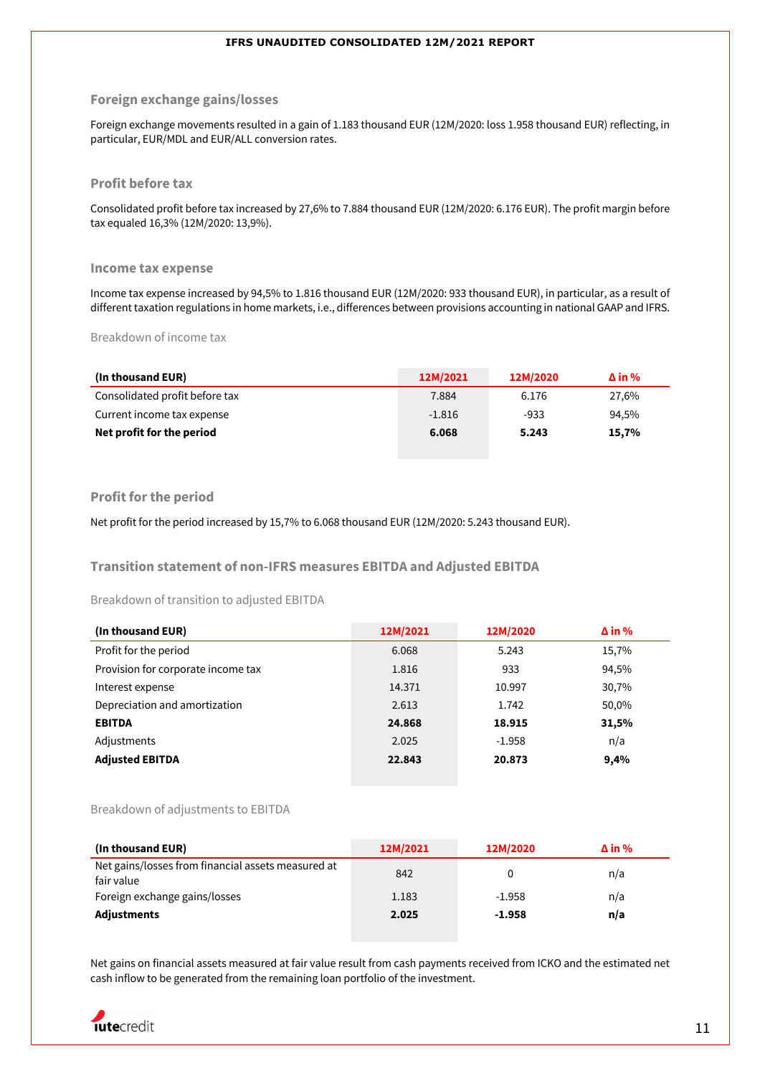# **Foreign exchange gains/losses**

Foreign exchange movements resulted in a gain of 1.183 thousand EUR (12M/2020: loss 1.958 thousand EUR) reflecting, in particular, EUR/MDL and EUR/ALL conversion rates.

# **Profit before tax**

Consolidated profit before tax increased by 27,6% to 7.884 thousand EUR (12M/2020: 6.176 EUR). The profit margin before tax equaled 16,3% (12M/2020: 13,9%).

### **Income tax expense**

Income tax expense increased by 94,5% to 1.816 thousand EUR (12M/2020: 933 thousand EUR), in particular, as a result of different taxation regulations in home markets, i.e., differences between provisions accounting in national GAAP and IFRS.

Breakdown of income tax

| (In thousand EUR)              | 12M/2021 | 12M/2020 | $\Delta$ in % |
|--------------------------------|----------|----------|---------------|
| Consolidated profit before tax | 7.884    | 6.176    | 27,6%         |
| Current income tax expense     | $-1.816$ | $-933$   | 94.5%         |
| Net profit for the period      | 6.068    | 5.243    | 15.7%         |

# **Profit for the period**

Net profit for the period increased by 15,7% to 6.068 thousand EUR (12M/2020: 5.243 thousand EUR).

# **Transition statement of non-IFRS measures EBITDA and Adjusted EBITDA**

## Breakdown of transition to adjusted EBITDA

| (In thousand EUR)                  | 12M/2021 | 12M/2020 | $\Delta$ in % |
|------------------------------------|----------|----------|---------------|
| Profit for the period              | 6.068    | 5.243    | 15,7%         |
| Provision for corporate income tax | 1.816    | 933      | 94,5%         |
| Interest expense                   | 14.371   | 10.997   | 30,7%         |
| Depreciation and amortization      | 2.613    | 1.742    | 50,0%         |
| <b>EBITDA</b>                      | 24.868   | 18.915   | 31,5%         |
| Adjustments                        | 2.025    | $-1.958$ | n/a           |
| <b>Adjusted EBITDA</b>             | 22.843   | 20.873   | 9,4%          |

## Breakdown of adjustments to EBITDA

| (In thousand EUR)                                                | 12M/2021 | 12M/2020 | $\Delta$ in % |
|------------------------------------------------------------------|----------|----------|---------------|
| Net gains/losses from financial assets measured at<br>fair value | 842      |          | n/a           |
| Foreign exchange gains/losses                                    | 1.183    | $-1.958$ | n/a           |
| <b>Adjustments</b>                                               | 2.025    | $-1.958$ | n/a           |

Net gains on financial assets measured at fair value result from cash payments received from ICKO and the estimated net cash inflow to be generated from the remaining loan portfolio of the investment.

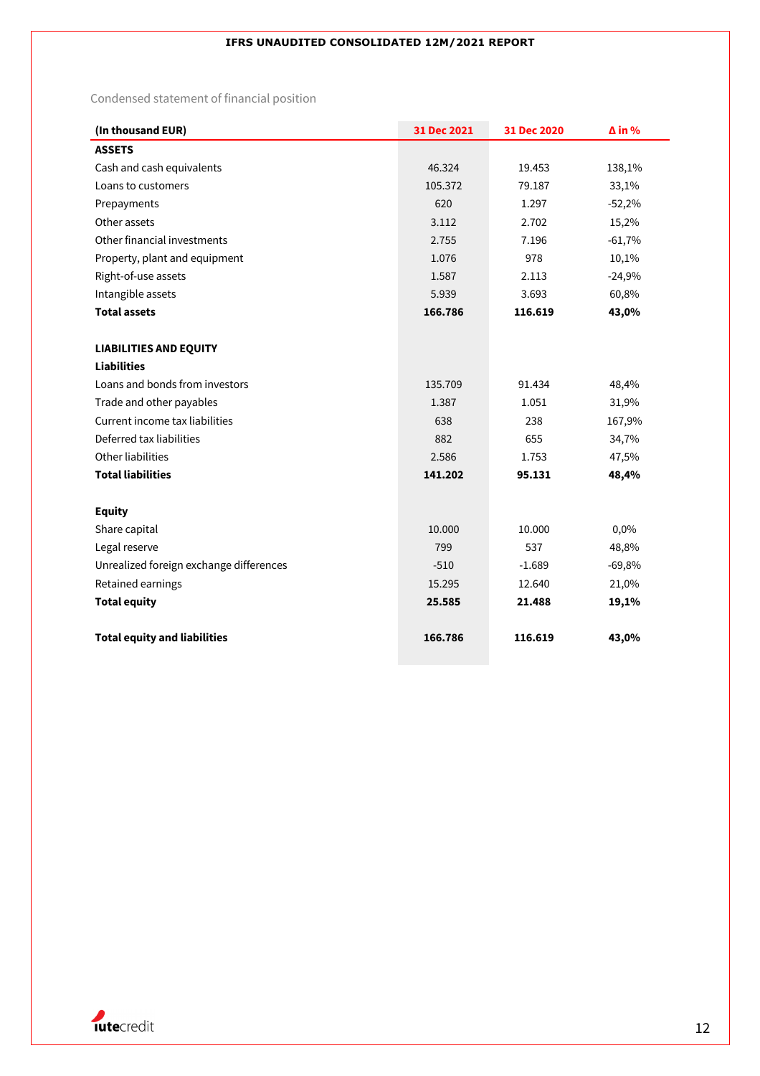Condensed statement of financial position

| (In thousand EUR)                       | 31 Dec 2021 | 31 Dec 2020 | $\Delta$ in % |
|-----------------------------------------|-------------|-------------|---------------|
| <b>ASSETS</b>                           |             |             |               |
| Cash and cash equivalents               | 46.324      | 19.453      | 138,1%        |
| Loans to customers                      | 105.372     | 79.187      | 33,1%         |
| Prepayments                             | 620         | 1.297       | $-52,2%$      |
| Other assets                            | 3.112       | 2.702       | 15,2%         |
| Other financial investments             | 2.755       | 7.196       | $-61,7%$      |
| Property, plant and equipment           | 1.076       | 978         | 10,1%         |
| Right-of-use assets                     | 1.587       | 2.113       | $-24,9%$      |
| Intangible assets                       | 5.939       | 3.693       | 60,8%         |
| <b>Total assets</b>                     | 166.786     | 116.619     | 43,0%         |
|                                         |             |             |               |
| <b>LIABILITIES AND EQUITY</b>           |             |             |               |
| <b>Liabilities</b>                      |             |             |               |
| Loans and bonds from investors          | 135.709     | 91.434      | 48,4%         |
| Trade and other payables                | 1.387       | 1.051       | 31,9%         |
| Current income tax liabilities          | 638         | 238         | 167,9%        |
| Deferred tax liabilities                | 882         | 655         | 34,7%         |
| Other liabilities                       | 2.586       | 1.753       | 47,5%         |
| <b>Total liabilities</b>                | 141.202     | 95.131      | 48,4%         |
|                                         |             |             |               |
| <b>Equity</b>                           |             |             |               |
| Share capital                           | 10.000      | 10.000      | 0,0%          |
| Legal reserve                           | 799         | 537         | 48,8%         |
| Unrealized foreign exchange differences | $-510$      | $-1.689$    | $-69,8%$      |
| Retained earnings                       | 15.295      | 12.640      | 21,0%         |
| <b>Total equity</b>                     | 25.585      | 21.488      | 19,1%         |
| <b>Total equity and liabilities</b>     | 166.786     | 116.619     | 43,0%         |

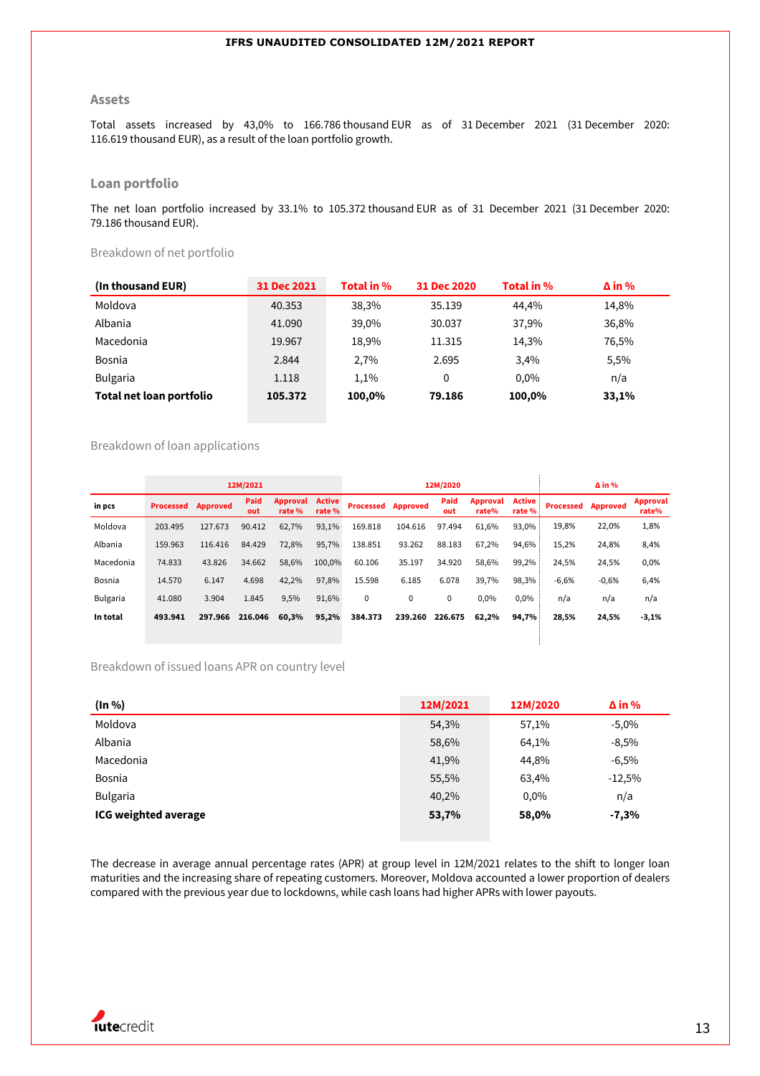#### **Assets**

Total assets increased by 43,0% to 166.786 thousand EUR as of 31 December 2021 (31 December 2020: 116.619 thousand EUR), as a result of the loan portfolio growth.

# **Loan portfolio**

The net loan portfolio increased by 33.1% to 105.372 thousand EUR as of 31 December 2021 (31 December 2020: 79.186 thousand EUR).

Breakdown of net portfolio

| (In thousand EUR)        | 31 Dec 2021 | Total in % | 31 Dec 2020 | Total in % | $\Delta$ in % |
|--------------------------|-------------|------------|-------------|------------|---------------|
| Moldova                  | 40.353      | 38,3%      | 35.139      | 44.4%      | 14,8%         |
| Albania                  | 41.090      | 39,0%      | 30.037      | 37,9%      | 36,8%         |
| Macedonia                | 19.967      | 18,9%      | 11.315      | 14,3%      | 76,5%         |
| Bosnia                   | 2.844       | 2.7%       | 2.695       | 3,4%       | 5,5%          |
| <b>Bulgaria</b>          | 1.118       | 1,1%       | 0           | $0.0\%$    | n/a           |
| Total net loan portfolio | 105.372     | 100,0%     | 79.186      | 100,0%     | 33,1%         |

## Breakdown of loan applications

|                 |                           |         | 12M/2021    |                           |                  |             |                 | 12M/2020    |                          |                         |                  | $\Delta$ in %   |                          |
|-----------------|---------------------------|---------|-------------|---------------------------|------------------|-------------|-----------------|-------------|--------------------------|-------------------------|------------------|-----------------|--------------------------|
| in pcs          | <b>Processed Approved</b> |         | Paid<br>out | <b>Approval</b><br>rate % | Active<br>rate % | Processed   | <b>Approved</b> | Paid<br>out | <b>Approval</b><br>rate% | <b>Active</b><br>rate % | <b>Processed</b> | <b>Approved</b> | <b>Approval</b><br>rate% |
| Moldova         | 203.495                   | 127.673 | 90.412      | 62,7%                     | 93,1%            | 169.818     | 104.616         | 97.494      | 61,6%                    | 93,0%                   | 19,8%            | 22,0%           | 1,8%                     |
| Albania         | 159.963                   | 116.416 | 84.429      | 72,8%                     | 95,7%            | 138.851     | 93.262          | 88.183      | 67,2%                    | 94,6%                   | 15,2%            | 24,8%           | 8,4%                     |
| Macedonia       | 74.833                    | 43.826  | 34.662      | 58,6%                     | 100,0%           | 60.106      | 35.197          | 34.920      | 58,6%                    | 99,2%                   | 24,5%            | 24,5%           | 0,0%                     |
| Bosnia          | 14.570                    | 6.147   | 4.698       | 42,2%                     | 97,8%            | 15.598      | 6.185           | 6.078       | 39,7%                    | 98,3%                   | $-6,6%$          | $-0.6%$         | 6,4%                     |
| <b>Bulgaria</b> | 41.080                    | 3.904   | 1.845       | 9,5%                      | 91,6%            | $\mathbf 0$ | 0               | 0           | 0,0%                     | 0,0%                    | n/a              | n/a             | n/a                      |
| In total        | 493.941                   | 297.966 | 216.046     | 60,3%                     | 95,2%            | 384.373     | 239.260         | 226.675     | 62,2%                    | 94.7%                   | 28,5%            | 24,5%           | $-3,1%$                  |
|                 |                           |         |             |                           |                  |             |                 |             |                          |                         |                  |                 |                          |

# Breakdown of issued loans APR on country level

| (In %)                      | 12M/2021 | 12M/2020 | $\Delta$ in % |
|-----------------------------|----------|----------|---------------|
| Moldova                     | 54,3%    | 57,1%    | $-5,0%$       |
| Albania                     | 58,6%    | 64,1%    | $-8,5%$       |
| Macedonia                   | 41,9%    | 44,8%    | $-6,5%$       |
| Bosnia                      | 55,5%    | 63,4%    | $-12,5%$      |
| <b>Bulgaria</b>             | 40,2%    | 0,0%     | n/a           |
| <b>ICG weighted average</b> | 53,7%    | 58,0%    | $-7,3%$       |

The decrease in average annual percentage rates (APR) at group level in 12M/2021 relates to the shift to longer loan maturities and the increasing share of repeating customers. Moreover, Moldova accounted a lower proportion of dealers compared with the previous year due to lockdowns, while cash loans had higher APRs with lower payouts.

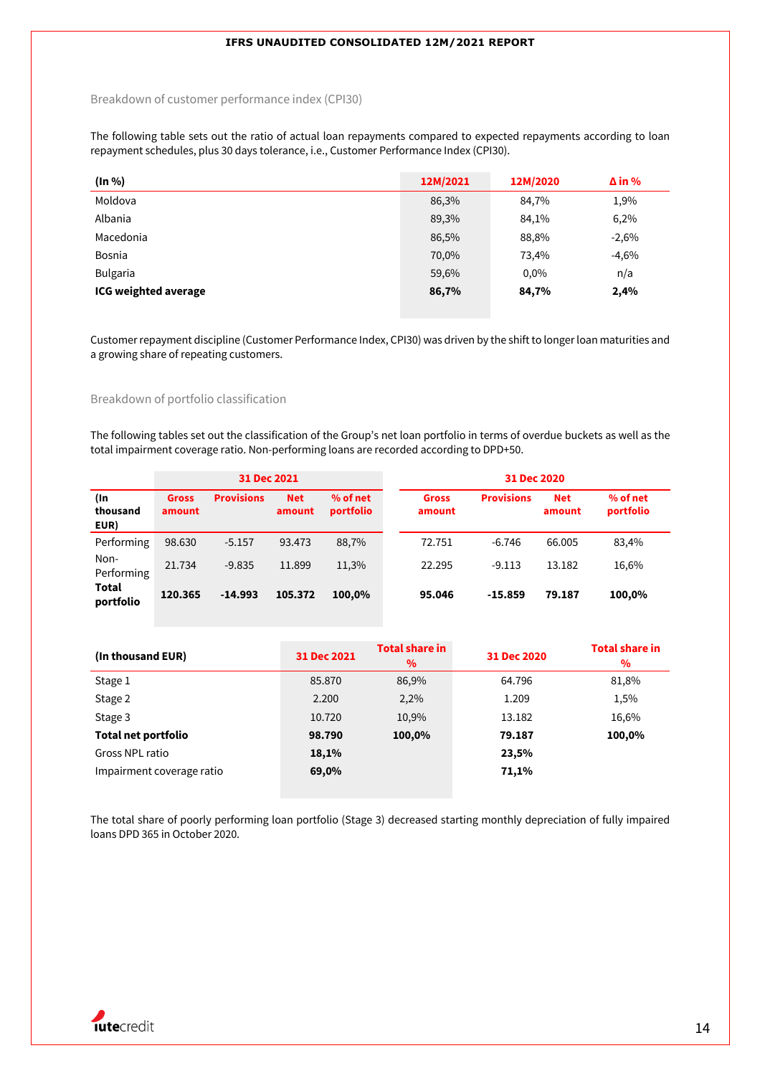## Breakdown of customer performance index (CPI30)

The following table sets out the ratio of actual loan repayments compared to expected repayments according to loan repayment schedules, plus 30 days tolerance, i.e., Customer Performance Index (CPI30).

| (In %)                      | 12M/2021 | 12M/2020 | $\Delta$ in % |
|-----------------------------|----------|----------|---------------|
| Moldova                     | 86,3%    | 84,7%    | 1,9%          |
| Albania                     | 89,3%    | 84,1%    | 6,2%          |
| Macedonia                   | 86,5%    | 88,8%    | $-2,6%$       |
| Bosnia                      | 70,0%    | 73,4%    | $-4,6%$       |
| <b>Bulgaria</b>             | 59,6%    | $0.0\%$  | n/a           |
| <b>ICG weighted average</b> | 86,7%    | 84,7%    | 2,4%          |

Customer repayment discipline (Customer Performance Index, CPI30) was driven by the shift to longer loan maturities and a growing share of repeating customers.

## Breakdown of portfolio classification

The following tables set out the classification of the Group's net loan portfolio in terms of overdue buckets as well as the total impairment coverage ratio. Non-performing loans are recorded according to DPD+50.

|                           |                        | 31 Dec 2021       |                      |                         |
|---------------------------|------------------------|-------------------|----------------------|-------------------------|
| (In<br>thousand<br>EUR)   | <b>Gross</b><br>amount | <b>Provisions</b> | <b>Net</b><br>amount | $%$ of net<br>portfolio |
| Performing                | 98.630                 | $-5.157$          | 93.473               | 88,7%                   |
| Non-<br>Performing        | 21.734                 | $-9.835$          | 11.899               | 11,3%                   |
| <b>Total</b><br>portfolio | 120.365                | $-14.993$         | 105.372              | 100.0%                  |

| (In thousand EUR)         | 31 Dec 2021 | <b>Total share in</b><br>$\%$ | 31 Dec 2020 | <b>Total share in</b><br>% |
|---------------------------|-------------|-------------------------------|-------------|----------------------------|
| Stage 1                   | 85,870      | 86,9%                         | 64.796      | 81,8%                      |
| Stage 2                   | 2.200       | 2,2%                          | 1.209       | 1,5%                       |
| Stage 3                   | 10.720      | 10,9%                         | 13.182      | 16,6%                      |
| Total net portfolio       | 98.790      | 100,0%                        | 79.187      | 100,0%                     |
| Gross NPL ratio           | 18,1%       |                               | 23,5%       |                            |
| Impairment coverage ratio | 69,0%       |                               | 71,1%       |                            |

The total share of poorly performing loan portfolio (Stage 3) decreased starting monthly depreciation of fully impaired loans DPD 365 in October 2020.

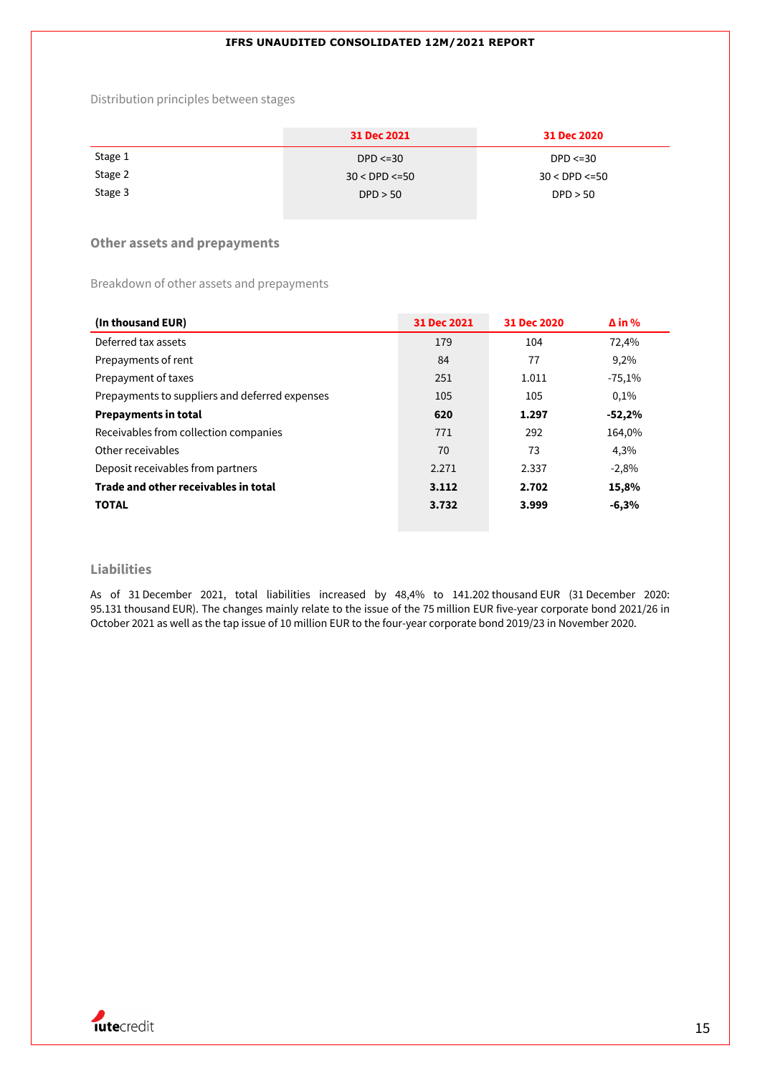Distribution principles between stages

|         | 31 Dec 2021          | 31 Dec 2020          |
|---------|----------------------|----------------------|
| Stage 1 | $DPD \leq 30$        | $DPD \le 30$         |
| Stage 2 | $30 <$ DPD $\leq 50$ | $30 <$ DPD $\leq 50$ |
| Stage 3 | DPD > 50             | DPD > 50             |

**Other assets and prepayments**

Breakdown of other assets and prepayments

| (In thousand EUR)                              | 31 Dec 2021 | 31 Dec 2020 | $\Delta$ in % |
|------------------------------------------------|-------------|-------------|---------------|
| Deferred tax assets                            | 179         | 104         | 72,4%         |
| Prepayments of rent                            | 84          | 77          | 9,2%          |
| Prepayment of taxes                            | 251         | 1.011       | $-75,1%$      |
| Prepayments to suppliers and deferred expenses | 105         | 105         | 0,1%          |
| <b>Prepayments in total</b>                    | 620         | 1.297       | $-52,2%$      |
| Receivables from collection companies          | 771         | 292         | 164,0%        |
| Other receivables                              | 70          | 73          | 4,3%          |
| Deposit receivables from partners              | 2.271       | 2.337       | $-2,8%$       |
| Trade and other receivables in total           | 3.112       | 2.702       | 15,8%         |
| <b>TOTAL</b>                                   | 3.732       | 3.999       | $-6,3%$       |

# **Liabilities**

As of 31 December 2021, total liabilities increased by 48,4% to 141.202 thousand EUR (31 December 2020: 95.131 thousand EUR). The changes mainly relate to the issue of the 75 million EUR five-year corporate bond 2021/26 in October 2021 as well as the tap issue of 10 million EUR to the four-year corporate bond 2019/23 in November 2020.

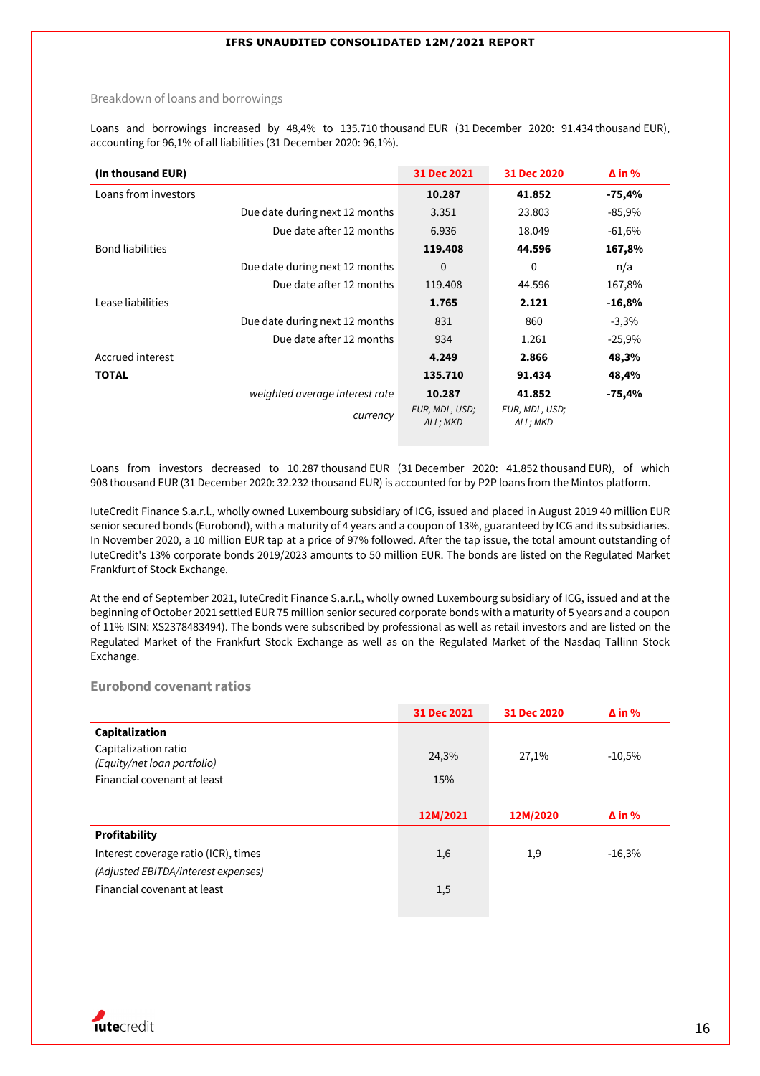#### Breakdown of loans and borrowings

Loans and borrowings increased by 48,4% to 135.710 thousand EUR (31 December 2020: 91.434 thousand EUR), accounting for 96,1% of all liabilities (31 December 2020: 96,1%).

| (In thousand EUR)              | 31 Dec 2021                | 31 Dec 2020                | $\Delta$ in % |
|--------------------------------|----------------------------|----------------------------|---------------|
| Loans from investors           | 10.287                     | 41.852                     | $-75,4%$      |
| Due date during next 12 months | 3.351                      | 23.803                     | $-85,9%$      |
| Due date after 12 months       | 6.936                      | 18.049                     | $-61,6%$      |
| <b>Bond liabilities</b>        | 119.408                    | 44.596                     | 167,8%        |
| Due date during next 12 months | $\mathbf 0$                | 0                          | n/a           |
| Due date after 12 months       | 119.408                    | 44.596                     | 167,8%        |
| Lease liabilities              | 1.765                      | 2.121                      | $-16,8%$      |
| Due date during next 12 months | 831                        | 860                        | $-3,3%$       |
| Due date after 12 months       | 934                        | 1.261                      | $-25,9%$      |
| Accrued interest               | 4.249                      | 2.866                      | 48,3%         |
| <b>TOTAL</b>                   | 135.710                    | 91.434                     | 48,4%         |
| weighted average interest rate | 10.287                     | 41.852                     | $-75,4%$      |
| currency                       | EUR, MDL, USD;<br>ALL; MKD | EUR, MDL, USD;<br>ALL; MKD |               |

Loans from investors decreased to 10.287 thousand EUR (31 December 2020: 41.852 thousand EUR), of which 908 thousand EUR (31 December 2020: 32.232 thousand EUR) is accounted for by P2P loans from the Mintos platform.

IuteCredit Finance S.a.r.l., wholly owned Luxembourg subsidiary of ICG, issued and placed in August 2019 40 million EUR senior secured bonds (Eurobond), with a maturity of 4 years and a coupon of 13%, guaranteed by ICG and its subsidiaries. In November 2020, a 10 million EUR tap at a price of 97% followed. After the tap issue, the total amount outstanding of IuteCredit's 13% corporate bonds 2019/2023 amounts to 50 million EUR. The bonds are listed on the Regulated Market Frankfurt of Stock Exchange.

At the end of September 2021, IuteCredit Finance S.a.r.l., wholly owned Luxembourg subsidiary of ICG, issued and at the beginning of October 2021 settled EUR 75 million senior secured corporate bonds with a maturity of 5 years and a coupon of 11% ISIN: XS2378483494). The bonds were subscribed by professional as well as retail investors and are listed on the Regulated Market of the Frankfurt Stock Exchange as well as on the Regulated Market of the Nasdaq Tallinn Stock Exchange.

## **Eurobond covenant ratios**

|                                                     | 31 Dec 2021 | 31 Dec 2020 | $\Delta$ in % |
|-----------------------------------------------------|-------------|-------------|---------------|
| Capitalization                                      |             |             |               |
| Capitalization ratio<br>(Equity/net loan portfolio) | 24,3%       | 27,1%       | $-10,5%$      |
| Financial covenant at least                         | 15%         |             |               |
|                                                     |             |             |               |
|                                                     |             |             |               |
|                                                     | 12M/2021    | 12M/2020    | $\Delta$ in % |
| <b>Profitability</b>                                |             |             |               |
| Interest coverage ratio (ICR), times                | 1,6         | 1,9         | $-16,3%$      |
| (Adjusted EBITDA/interest expenses)                 |             |             |               |
| Financial covenant at least                         | 1,5         |             |               |

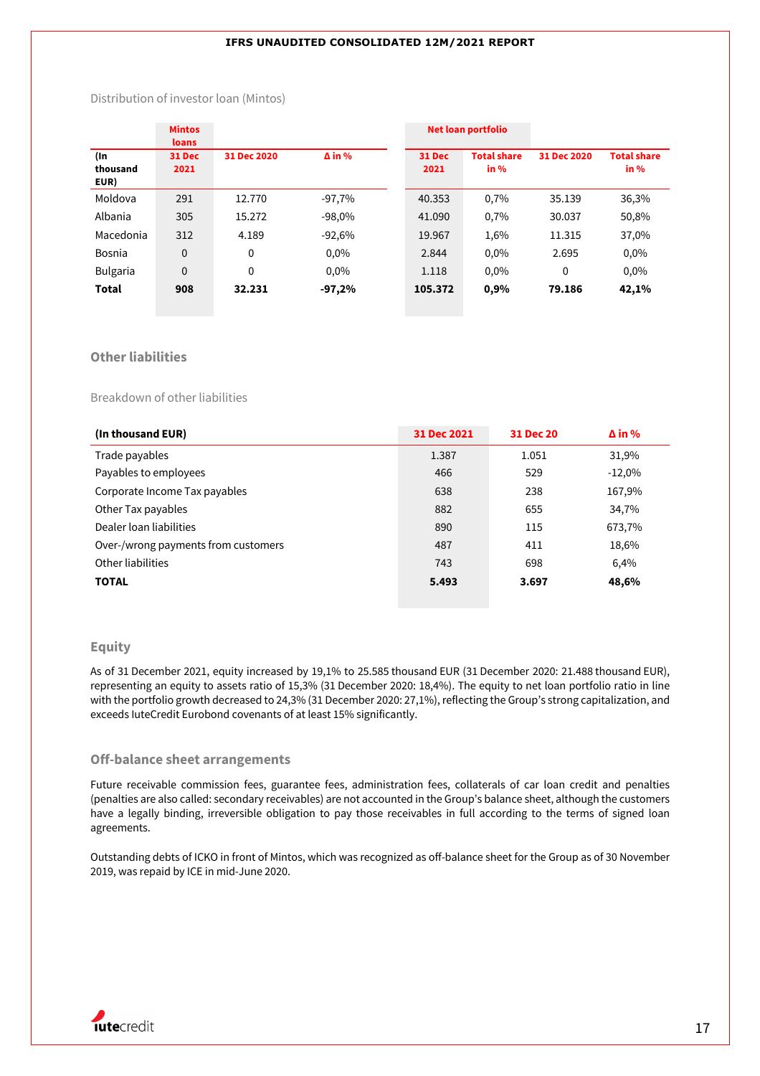|                         | <b>Mintos</b><br>loans |             |               |                       | Net loan portfolio           |             |                            |
|-------------------------|------------------------|-------------|---------------|-----------------------|------------------------------|-------------|----------------------------|
| (In<br>thousand<br>EUR) | <b>31 Dec</b><br>2021  | 31 Dec 2020 | $\Delta$ in % | <b>31 Dec</b><br>2021 | <b>Total share</b><br>in $%$ | 31 Dec 2020 | <b>Total share</b><br>in % |
| Moldova                 | 291                    | 12.770      | $-97,7%$      | 40.353                | 0,7%                         | 35.139      | 36,3%                      |
| Albania                 | 305                    | 15.272      | $-98,0%$      | 41.090                | 0,7%                         | 30.037      | 50,8%                      |
| Macedonia               | 312                    | 4.189       | $-92,6%$      | 19.967                | 1,6%                         | 11.315      | 37,0%                      |
| Bosnia                  | 0                      | 0           | 0,0%          | 2.844                 | $0.0\%$                      | 2.695       | 0,0%                       |
| <b>Bulgaria</b>         | 0                      | 0           | 0,0%          | 1.118                 | $0.0\%$                      | 0           | 0,0%                       |
| <b>Total</b>            | 908                    | 32.231      | $-97,2%$      | 105.372               | 0,9%                         | 79.186      | 42,1%                      |

Distribution of investor loan (Mintos)

# **Other liabilities**

Breakdown of other liabilities

| (In thousand EUR)                   | 31 Dec 2021 | 31 Dec 20 | $\Delta$ in % |
|-------------------------------------|-------------|-----------|---------------|
| Trade payables                      | 1.387       | 1.051     | 31,9%         |
| Payables to employees               | 466         | 529       | $-12,0%$      |
| Corporate Income Tax payables       | 638         | 238       | 167,9%        |
| Other Tax payables                  | 882         | 655       | 34,7%         |
| Dealer loan liabilities             | 890         | 115       | 673,7%        |
| Over-/wrong payments from customers | 487         | 411       | 18,6%         |
| Other liabilities                   | 743         | 698       | 6,4%          |
| <b>TOTAL</b>                        | 5.493       | 3.697     | 48,6%         |

### **Equity**

As of 31 December 2021, equity increased by 19,1% to 25.585 thousand EUR (31 December 2020: 21.488 thousand EUR), representing an equity to assets ratio of 15,3% (31 December 2020: 18,4%). The equity to net loan portfolio ratio in line with the portfolio growth decreased to 24,3% (31 December 2020: 27,1%), reflecting the Group's strong capitalization, and exceeds IuteCredit Eurobond covenants of at least 15% significantly.

### **Off-balance sheet arrangements**

Future receivable commission fees, guarantee fees, administration fees, collaterals of car loan credit and penalties (penalties are also called: secondary receivables) are not accounted in the Group's balance sheet, although the customers have a legally binding, irreversible obligation to pay those receivables in full according to the terms of signed loan agreements.

Outstanding debts of ICKO in front of Mintos, which was recognized as off-balance sheet for the Group as of 30 November 2019, was repaid by ICE in mid-June 2020.

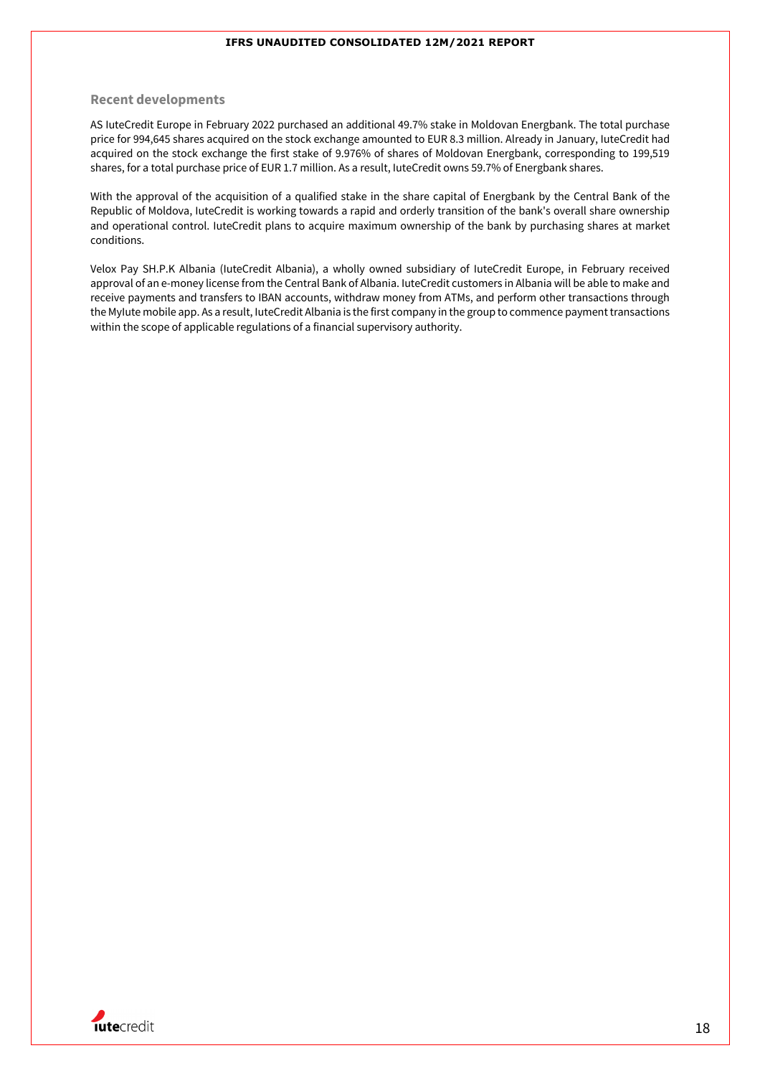#### **Recent developments**

AS IuteCredit Europe in February 2022 purchased an additional 49.7% stake in Moldovan Energbank. The total purchase price for 994,645 shares acquired on the stock exchange amounted to EUR 8.3 million. Already in January, IuteCredit had acquired on the stock exchange the first stake of 9.976% of shares of Moldovan Energbank, corresponding to 199,519 shares, for a total purchase price of EUR 1.7 million. As a result, IuteCredit owns 59.7% of Energbank shares.

With the approval of the acquisition of a qualified stake in the share capital of Energbank by the Central Bank of the Republic of Moldova, IuteCredit is working towards a rapid and orderly transition of the bank's overall share ownership and operational control. IuteCredit plans to acquire maximum ownership of the bank by purchasing shares at market conditions.

Velox Pay SH.P.K Albania (IuteCredit Albania), a wholly owned subsidiary of IuteCredit Europe, in February received approval of an e-money license from the Central Bank of Albania. IuteCredit customers in Albania will be able to make and receive payments and transfers to IBAN accounts, withdraw money from ATMs, and perform other transactions through the MyIute mobile app. As a result, IuteCredit Albania is the first company in the group to commence payment transactions within the scope of applicable regulations of a financial supervisory authority.

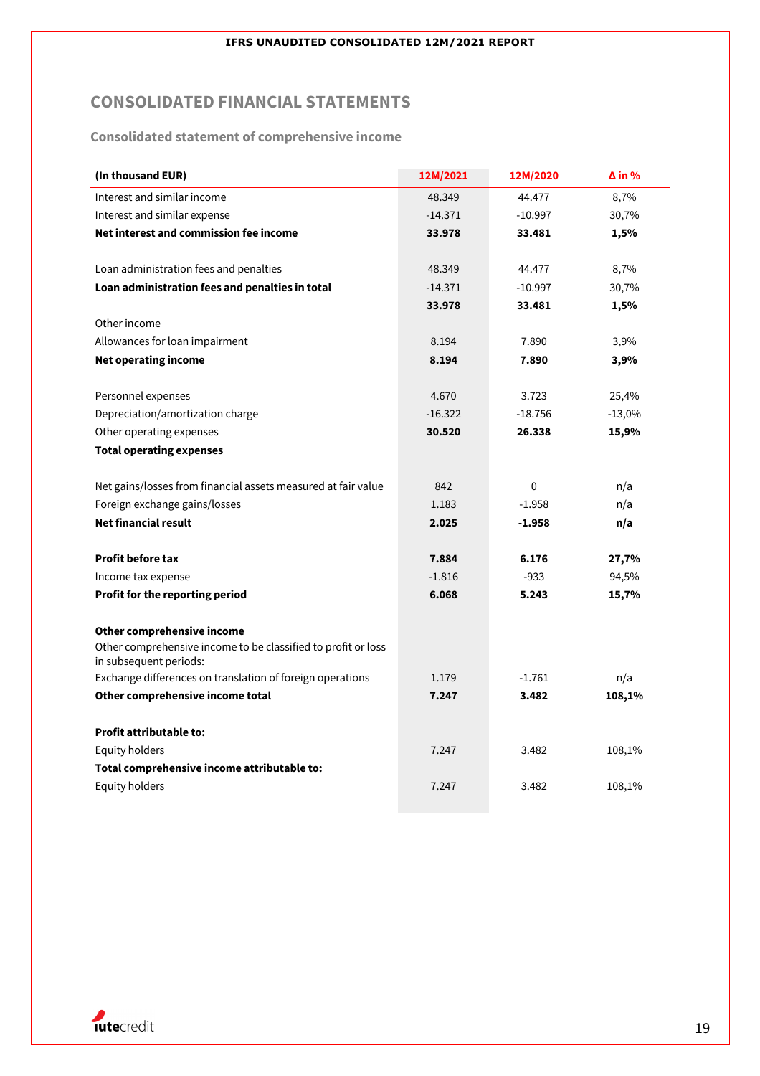# **CONSOLIDATED FINANCIAL STATEMENTS**

**Consolidated statement of comprehensive income**

| (In thousand EUR)                                             | 12M/2021  | 12M/2020    | $\Delta$ in % |
|---------------------------------------------------------------|-----------|-------------|---------------|
| Interest and similar income                                   | 48.349    | 44,477      | 8,7%          |
| Interest and similar expense                                  | $-14.371$ | $-10.997$   | 30,7%         |
| Net interest and commission fee income                        | 33.978    | 33.481      | 1,5%          |
|                                                               |           |             |               |
| Loan administration fees and penalties                        | 48.349    | 44.477      | 8,7%          |
| Loan administration fees and penalties in total               | $-14.371$ | $-10.997$   | 30,7%         |
|                                                               | 33.978    | 33.481      | 1,5%          |
| Other income                                                  |           |             |               |
| Allowances for loan impairment                                | 8.194     | 7.890       | 3,9%          |
| <b>Net operating income</b>                                   | 8.194     | 7.890       | 3,9%          |
|                                                               |           |             |               |
| Personnel expenses                                            | 4.670     | 3.723       | 25,4%         |
| Depreciation/amortization charge                              | $-16.322$ | $-18.756$   | $-13,0%$      |
| Other operating expenses                                      | 30.520    | 26.338      | 15,9%         |
| <b>Total operating expenses</b>                               |           |             |               |
|                                                               |           |             |               |
| Net gains/losses from financial assets measured at fair value | 842       | $\mathbf 0$ | n/a           |
| Foreign exchange gains/losses                                 | 1.183     | $-1.958$    | n/a           |
| <b>Net financial result</b>                                   | 2.025     | $-1.958$    | n/a           |
| <b>Profit before tax</b>                                      | 7.884     | 6.176       | 27,7%         |
| Income tax expense                                            | $-1.816$  | $-933$      | 94,5%         |
| Profit for the reporting period                               | 6.068     | 5.243       | 15,7%         |
| Other comprehensive income                                    |           |             |               |
| Other comprehensive income to be classified to profit or loss |           |             |               |
| in subsequent periods:                                        |           |             |               |
| Exchange differences on translation of foreign operations     | 1.179     | $-1.761$    | n/a           |
| Other comprehensive income total                              | 7.247     | 3.482       | 108,1%        |
|                                                               |           |             |               |
| <b>Profit attributable to:</b>                                |           |             |               |
| Equity holders                                                | 7.247     | 3.482       | 108,1%        |
| Total comprehensive income attributable to:                   |           |             |               |
| Equity holders                                                | 7.247     | 3.482       | 108,1%        |
|                                                               |           |             |               |

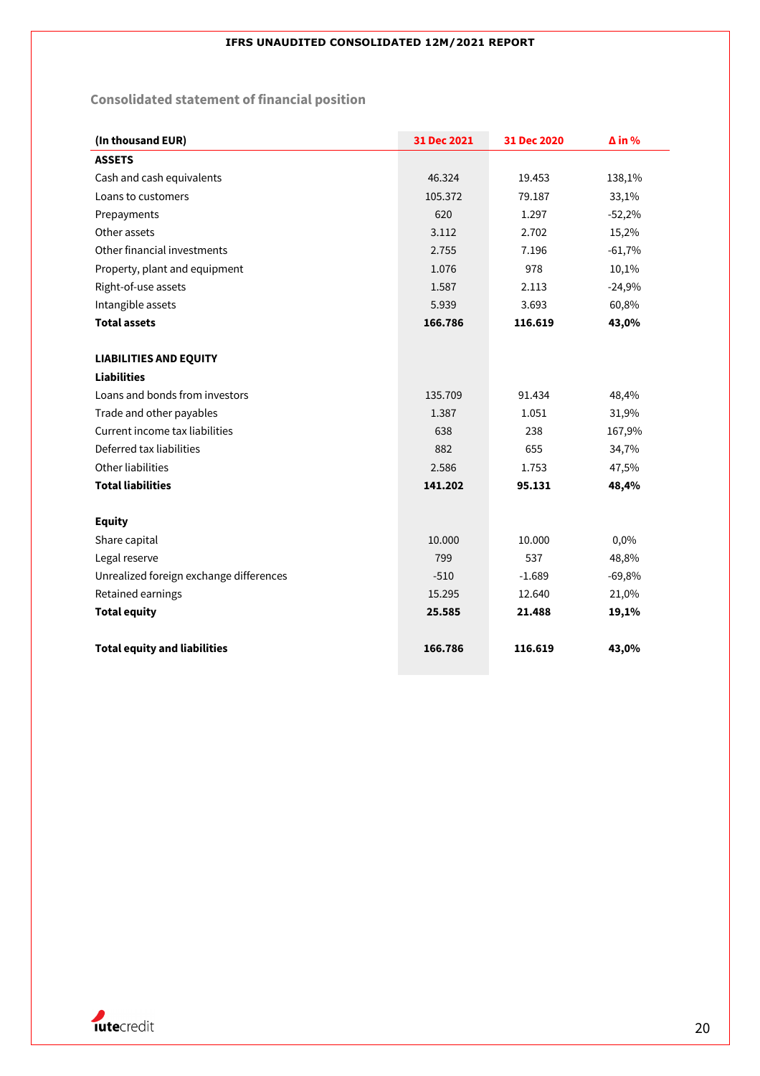# **Consolidated statement of financial position**

| (In thousand EUR)                       | 31 Dec 2021 | 31 Dec 2020 | $\Delta$ in % |
|-----------------------------------------|-------------|-------------|---------------|
| <b>ASSETS</b>                           |             |             |               |
| Cash and cash equivalents               | 46.324      | 19.453      | 138,1%        |
| Loans to customers                      | 105.372     | 79.187      | 33,1%         |
| Prepayments                             | 620         | 1.297       | $-52,2%$      |
| Other assets                            | 3.112       | 2.702       | 15,2%         |
| Other financial investments             | 2.755       | 7.196       | $-61,7%$      |
| Property, plant and equipment           | 1.076       | 978         | 10,1%         |
| Right-of-use assets                     | 1.587       | 2.113       | $-24,9%$      |
| Intangible assets                       | 5.939       | 3.693       | 60,8%         |
| <b>Total assets</b>                     | 166.786     | 116.619     | 43,0%         |
|                                         |             |             |               |
| <b>LIABILITIES AND EQUITY</b>           |             |             |               |
| <b>Liabilities</b>                      |             |             |               |
| Loans and bonds from investors          | 135.709     | 91.434      | 48,4%         |
| Trade and other payables                | 1.387       | 1.051       | 31,9%         |
| Current income tax liabilities          | 638         | 238         | 167,9%        |
| Deferred tax liabilities                | 882         | 655         | 34,7%         |
| Other liabilities                       | 2.586       | 1.753       | 47,5%         |
| <b>Total liabilities</b>                | 141.202     | 95.131      | 48,4%         |
| <b>Equity</b>                           |             |             |               |
| Share capital                           | 10.000      | 10.000      | 0,0%          |
| Legal reserve                           | 799         | 537         | 48,8%         |
| Unrealized foreign exchange differences | $-510$      | $-1.689$    | $-69,8%$      |
| Retained earnings                       | 15.295      | 12.640      | 21,0%         |
| <b>Total equity</b>                     | 25.585      | 21.488      | 19,1%         |
| <b>Total equity and liabilities</b>     | 166.786     | 116.619     | 43,0%         |

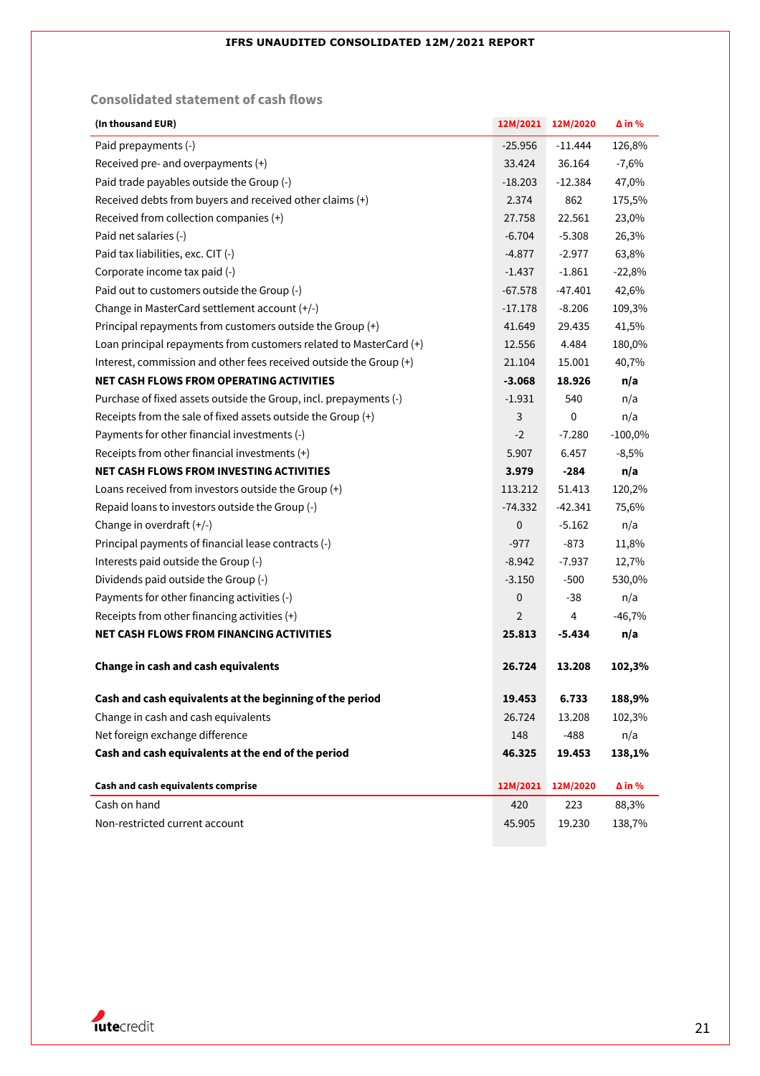# **Consolidated statement of cash flows**

| (In thousand EUR)                                                  | 12M/2021 12M/2020 |           | $\Delta$ in % |
|--------------------------------------------------------------------|-------------------|-----------|---------------|
| Paid prepayments (-)                                               | $-25.956$         | $-11.444$ | 126,8%        |
| Received pre- and overpayments (+)                                 | 33.424            | 36.164    | $-7,6%$       |
| Paid trade payables outside the Group (-)                          | $-18.203$         | -12.384   | 47,0%         |
| Received debts from buyers and received other claims (+)           | 2.374             | 862       | 175,5%        |
| Received from collection companies (+)                             | 27.758            | 22.561    | 23,0%         |
| Paid net salaries (-)                                              | $-6.704$          | $-5.308$  | 26,3%         |
| Paid tax liabilities, exc. CIT (-)                                 | $-4.877$          | $-2.977$  | 63,8%         |
| Corporate income tax paid (-)                                      | $-1.437$          | $-1.861$  | $-22,8%$      |
| Paid out to customers outside the Group (-)                        | $-67.578$         | -47.401   | 42,6%         |
| Change in MasterCard settlement account (+/-)                      | $-17.178$         | $-8.206$  | 109,3%        |
| Principal repayments from customers outside the Group (+)          | 41.649            | 29.435    | 41,5%         |
| Loan principal repayments from customers related to MasterCard (+) | 12.556            | 4.484     | 180,0%        |
| Interest, commission and other fees received outside the Group (+) | 21.104            | 15.001    | 40,7%         |
| NET CASH FLOWS FROM OPERATING ACTIVITIES                           | $-3.068$          | 18.926    | n/a           |
| Purchase of fixed assets outside the Group, incl. prepayments (-)  | $-1.931$          | 540       | n/a           |
| Receipts from the sale of fixed assets outside the Group (+)       | 3                 | 0         | n/a           |
| Payments for other financial investments (-)                       | $-2$              | $-7.280$  | $-100,0%$     |
| Receipts from other financial investments (+)                      | 5.907             | 6.457     | $-8,5%$       |
| <b>NET CASH FLOWS FROM INVESTING ACTIVITIES</b>                    | 3.979             | $-284$    | n/a           |
| Loans received from investors outside the Group (+)                | 113.212           | 51.413    | 120,2%        |
| Repaid loans to investors outside the Group (-)                    | $-74.332$         | -42.341   | 75,6%         |
| Change in overdraft (+/-)                                          | 0                 | $-5.162$  | n/a           |
| Principal payments of financial lease contracts (-)                | -977              | -873      | 11,8%         |
| Interests paid outside the Group (-)                               | $-8.942$          | $-7.937$  | 12,7%         |
| Dividends paid outside the Group (-)                               | $-3.150$          | $-500$    | 530,0%        |
| Payments for other financing activities (-)                        | $\mathbf 0$       | -38       | n/a           |
| Receipts from other financing activities (+)                       | $\overline{2}$    | 4         | $-46,7%$      |
| <b>NET CASH FLOWS FROM FINANCING ACTIVITIES</b>                    | 25.813            | $-5.434$  | n/a           |
| Change in cash and cash equivalents                                | 26.724            | 13.208    | 102,3%        |
| Cash and cash equivalents at the beginning of the period           | 19.453            | 6.733     | 188,9%        |
| Change in cash and cash equivalents                                | 26.724            | 13.208    | 102,3%        |
| Net foreign exchange difference                                    | 148               | -488      | n/a           |
| Cash and cash equivalents at the end of the period                 | 46.325            | 19.453    | 138,1%        |
|                                                                    |                   |           |               |
| Cash and cash equivalents comprise                                 | 12M/2021          | 12M/2020  | $\Delta$ in % |
| Cash on hand                                                       | 420               | 223       | 88,3%         |
| Non-restricted current account                                     | 45.905            | 19.230    | 138,7%        |

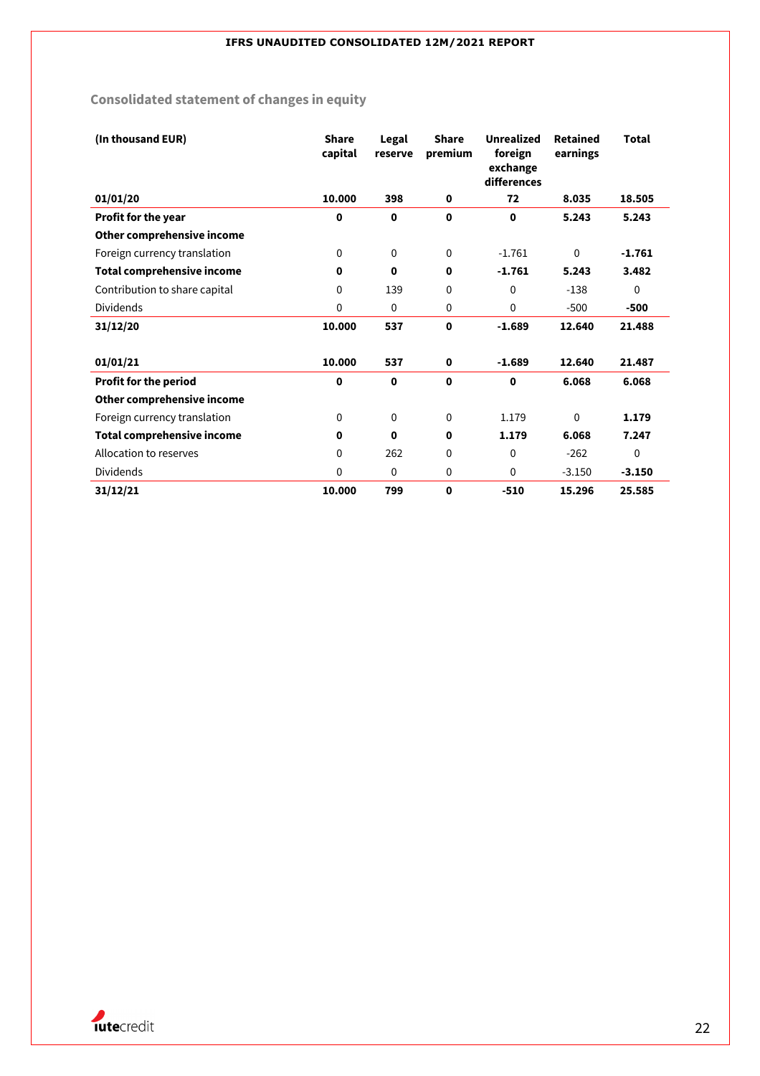# **Consolidated statement of changes in equity**

| (In thousand EUR)             | <b>Share</b><br>capital | Legal<br>reserve | <b>Share</b><br>premium | <b>Unrealized</b><br>foreign<br>exchange<br>differences | <b>Retained</b><br>earnings | <b>Total</b> |
|-------------------------------|-------------------------|------------------|-------------------------|---------------------------------------------------------|-----------------------------|--------------|
| 01/01/20                      | 10.000                  | 398              | 0                       | 72                                                      | 8.035                       | 18.505       |
| <b>Profit for the year</b>    | 0                       | $\mathbf 0$      | $\mathbf 0$             | $\mathbf 0$                                             | 5.243                       | 5.243        |
| Other comprehensive income    |                         |                  |                         |                                                         |                             |              |
| Foreign currency translation  | 0                       | $\mathbf 0$      | $\mathbf 0$             | $-1.761$                                                | 0                           | $-1.761$     |
| Total comprehensive income    | 0                       | $\mathbf 0$      | 0                       | $-1.761$                                                | 5.243                       | 3.482        |
| Contribution to share capital | 0                       | 139              | $\mathbf 0$             | $\Omega$                                                | $-138$                      | $\Omega$     |
| <b>Dividends</b>              | 0                       | $\mathbf 0$      | 0                       | 0                                                       | $-500$                      | $-500$       |
| 31/12/20                      | 10.000                  | 537              | $\mathbf 0$             | $-1.689$                                                | 12.640                      | 21.488       |
| 01/01/21                      | 10.000                  | 537              | 0                       | $-1.689$                                                | 12.640                      | 21.487       |
| <b>Profit for the period</b>  | 0                       | $\mathbf 0$      | $\mathbf 0$             | $\mathbf 0$                                             | 6.068                       | 6.068        |
| Other comprehensive income    |                         |                  |                         |                                                         |                             |              |
| Foreign currency translation  | 0                       | $\mathbf{0}$     | $\mathbf 0$             | 1.179                                                   | $\Omega$                    | 1.179        |
| Total comprehensive income    | 0                       | $\mathbf 0$      | $\mathbf 0$             | 1.179                                                   | 6.068                       | 7.247        |
| Allocation to reserves        | 0                       | 262              | $\mathbf 0$             | 0                                                       | $-262$                      | $\mathbf{0}$ |
| <b>Dividends</b>              | 0                       | 0                | 0                       | 0                                                       | $-3.150$                    | $-3.150$     |
| 31/12/21                      | 10.000                  | 799              | $\mathbf 0$             | $-510$                                                  | 15.296                      | 25.585       |

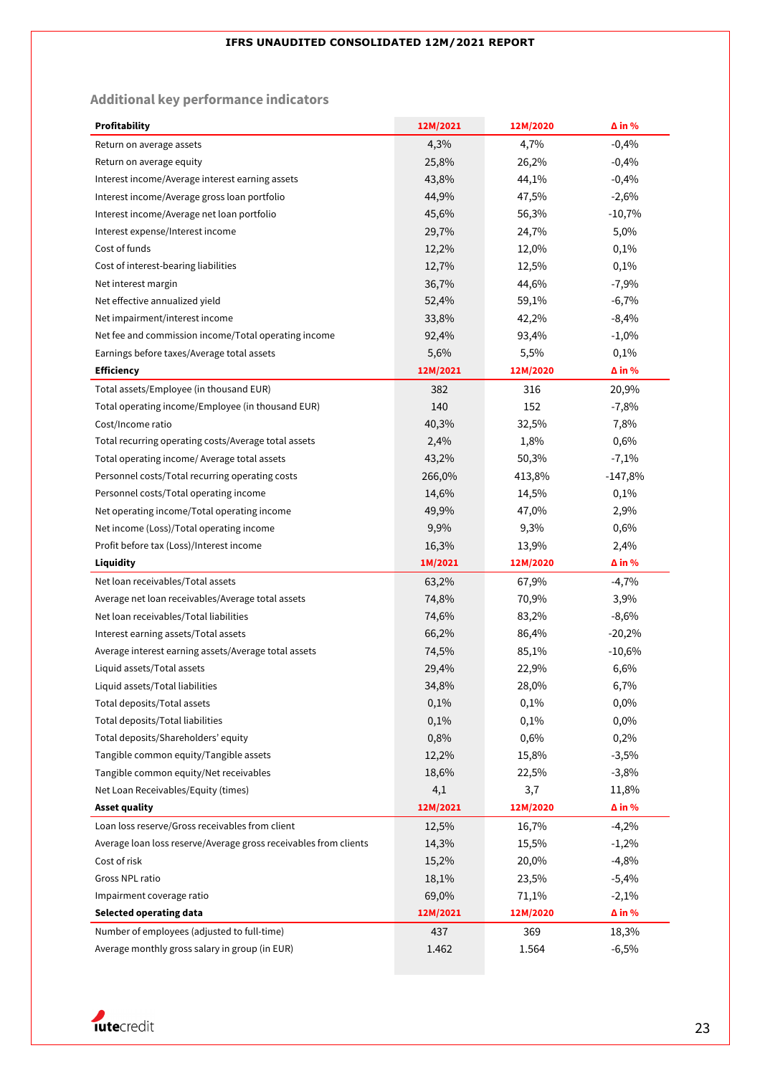# **Additional key performance indicators**

| <b>Profitability</b>                                             | 12M/2021 | 12M/2020 | $\Delta$ in % |
|------------------------------------------------------------------|----------|----------|---------------|
| Return on average assets                                         | 4,3%     | 4,7%     | $-0,4%$       |
| Return on average equity                                         | 25,8%    | 26,2%    | $-0,4%$       |
| Interest income/Average interest earning assets                  | 43,8%    | 44,1%    | $-0,4%$       |
| Interest income/Average gross loan portfolio                     | 44,9%    | 47,5%    | $-2,6%$       |
| Interest income/Average net loan portfolio                       | 45,6%    | 56,3%    | $-10,7%$      |
| Interest expense/Interest income                                 | 29,7%    | 24,7%    | 5,0%          |
| Cost of funds                                                    | 12,2%    | 12,0%    | 0,1%          |
| Cost of interest-bearing liabilities                             | 12,7%    | 12,5%    | 0,1%          |
| Net interest margin                                              | 36,7%    | 44,6%    | $-7,9%$       |
| Net effective annualized yield                                   | 52,4%    | 59,1%    | $-6,7%$       |
| Net impairment/interest income                                   | 33,8%    | 42,2%    | $-8,4%$       |
| Net fee and commission income/Total operating income             | 92,4%    | 93,4%    | $-1,0%$       |
| Earnings before taxes/Average total assets                       | 5,6%     | 5,5%     | 0,1%          |
| <b>Efficiency</b>                                                | 12M/2021 | 12M/2020 | $\Delta$ in % |
| Total assets/Employee (in thousand EUR)                          | 382      | 316      | 20,9%         |
| Total operating income/Employee (in thousand EUR)                | 140      | 152      | $-7,8%$       |
| Cost/Income ratio                                                | 40,3%    | 32,5%    | 7,8%          |
| Total recurring operating costs/Average total assets             | 2,4%     | 1,8%     | 0,6%          |
| Total operating income/ Average total assets                     | 43,2%    | 50,3%    | $-7,1%$       |
| Personnel costs/Total recurring operating costs                  | 266,0%   | 413,8%   | $-147,8%$     |
| Personnel costs/Total operating income                           | 14,6%    | 14,5%    | 0,1%          |
| Net operating income/Total operating income                      | 49,9%    | 47,0%    | 2,9%          |
| Net income (Loss)/Total operating income                         | 9,9%     | 9,3%     | 0,6%          |
| Profit before tax (Loss)/Interest income                         | 16,3%    | 13,9%    | 2,4%          |
| Liquidity                                                        | 1M/2021  | 12M/2020 | $\Delta$ in % |
| Net loan receivables/Total assets                                | 63,2%    | 67,9%    | $-4,7%$       |
| Average net loan receivables/Average total assets                | 74,8%    | 70,9%    | 3,9%          |
| Net loan receivables/Total liabilities                           | 74,6%    | 83,2%    | $-8,6%$       |
| Interest earning assets/Total assets                             | 66,2%    | 86,4%    | $-20,2%$      |
| Average interest earning assets/Average total assets             | 74,5%    | 85,1%    | $-10,6%$      |
| Liquid assets/Total assets                                       | 29,4%    | 22,9%    | 6,6%          |
| Liquid assets/Total liabilities                                  | 34,8%    | 28,0%    | 6,7%          |
| Total deposits/Total assets                                      | 0,1%     | 0,1%     | 0,0%          |
| Total deposits/Total liabilities                                 | 0,1%     | 0,1%     | 0,0%          |
| Total deposits/Shareholders' equity                              | 0,8%     | 0,6%     | 0,2%          |
| Tangible common equity/Tangible assets                           | 12,2%    | 15,8%    | $-3,5%$       |
| Tangible common equity/Net receivables                           | 18,6%    | 22,5%    | $-3,8%$       |
| Net Loan Receivables/Equity (times)                              | 4,1      | 3,7      | 11,8%         |
| <b>Asset quality</b>                                             | 12M/2021 | 12M/2020 | $\Delta$ in % |
| Loan loss reserve/Gross receivables from client                  | 12,5%    | 16,7%    | $-4,2%$       |
| Average loan loss reserve/Average gross receivables from clients | 14,3%    | 15,5%    | $-1,2%$       |
| Cost of risk                                                     | 15,2%    | 20,0%    | $-4,8%$       |
| Gross NPL ratio                                                  | 18,1%    | 23,5%    | $-5,4%$       |
| Impairment coverage ratio                                        | 69,0%    | 71,1%    | $-2,1%$       |
| <b>Selected operating data</b>                                   | 12M/2021 | 12M/2020 | $\Delta$ in % |
| Number of employees (adjusted to full-time)                      | 437      | 369      | 18,3%         |
| Average monthly gross salary in group (in EUR)                   | 1.462    | 1.564    | $-6,5%$       |

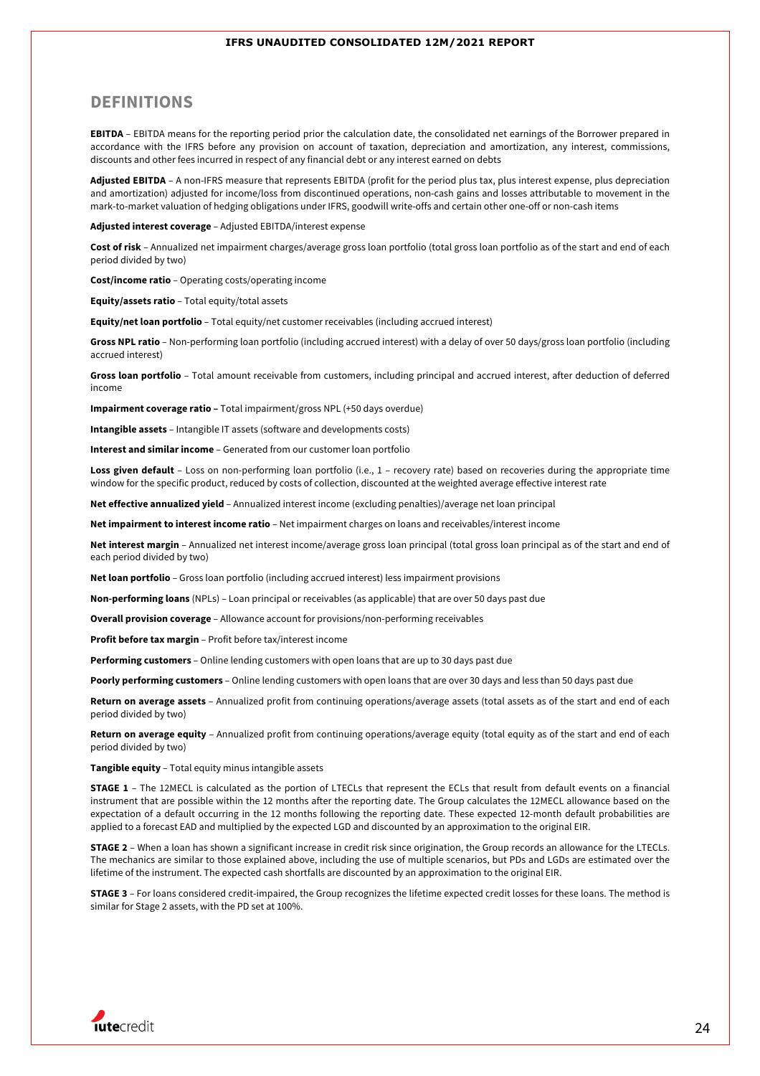# **DEFINITIONS**

**EBITDA** – EBITDA means for the reporting period prior the calculation date, the consolidated net earnings of the Borrower prepared in accordance with the IFRS before any provision on account of taxation, depreciation and amortization, any interest, commissions, discounts and other fees incurred in respect of any financial debt or any interest earned on debts

**Adjusted EBITDA** – A non-IFRS measure that represents EBITDA (profit for the period plus tax, plus interest expense, plus depreciation and amortization) adjusted for income/loss from discontinued operations, non-cash gains and losses attributable to movement in the mark-to-market valuation of hedging obligations under IFRS, goodwill write-offs and certain other one-off or non-cash items

**Adjusted interest coverage** – Adjusted EBITDA/interest expense

**Cost of risk** – Annualized net impairment charges/average gross loan portfolio (total gross loan portfolio as of the start and end of each period divided by two)

**Cost/income ratio** – Operating costs/operating income

**Equity/assets ratio** – Total equity/total assets

**Equity/net loan portfolio** – Total equity/net customer receivables (including accrued interest)

**Gross NPL ratio** – Non-performing loan portfolio (including accrued interest) with a delay of over 50 days/gross loan portfolio (including accrued interest)

**Gross loan portfolio** – Total amount receivable from customers, including principal and accrued interest, after deduction of deferred income

**Impairment coverage ratio –** Total impairment/gross NPL (+50 days overdue)

**Intangible assets** – Intangible IT assets (software and developments costs)

**Interest and similar income** – Generated from our customer loan portfolio

Loss given default – Loss on non-performing loan portfolio (i.e., 1 – recovery rate) based on recoveries during the appropriate time window for the specific product, reduced by costs of collection, discounted at the weighted average effective interest rate

**Net effective annualized yield** – Annualized interest income (excluding penalties)/average net loan principal

**Net impairment to interest income ratio** – Net impairment charges on loans and receivables/interest income

**Net interest margin** – Annualized net interest income/average gross loan principal (total gross loan principal as of the start and end of each period divided by two)

**Net loan portfolio** – Gross loan portfolio (including accrued interest) less impairment provisions

**Non-performing loans** (NPLs) – Loan principal or receivables (as applicable) that are over 50 days past due

**Overall provision coverage** – Allowance account for provisions/non-performing receivables

**Profit before tax margin** – Profit before tax/interest income

**Performing customers** – Online lending customers with open loans that are up to 30 days past due

**Poorly performing customers** – Online lending customers with open loans that are over 30 days and less than 50 days past due

**Return on average assets** – Annualized profit from continuing operations/average assets (total assets as of the start and end of each period divided by two)

Return on average equity - Annualized profit from continuing operations/average equity (total equity as of the start and end of each period divided by two)

**Tangible equity** – Total equity minus intangible assets

**STAGE 1** – The 12MECL is calculated as the portion of LTECLs that represent the ECLs that result from default events on a financial instrument that are possible within the 12 months after the reporting date. The Group calculates the 12MECL allowance based on the expectation of a default occurring in the 12 months following the reporting date. These expected 12-month default probabilities are applied to a forecast EAD and multiplied by the expected LGD and discounted by an approximation to the original EIR.

**STAGE 2** – When a loan has shown a significant increase in credit risk since origination, the Group records an allowance for the LTECLs. The mechanics are similar to those explained above, including the use of multiple scenarios, but PDs and LGDs are estimated over the lifetime of the instrument. The expected cash shortfalls are discounted by an approximation to the original EIR.

**STAGE 3** – For loans considered credit-impaired, the Group recognizes the lifetime expected credit losses for these loans. The method is similar for Stage 2 assets, with the PD set at 100%.